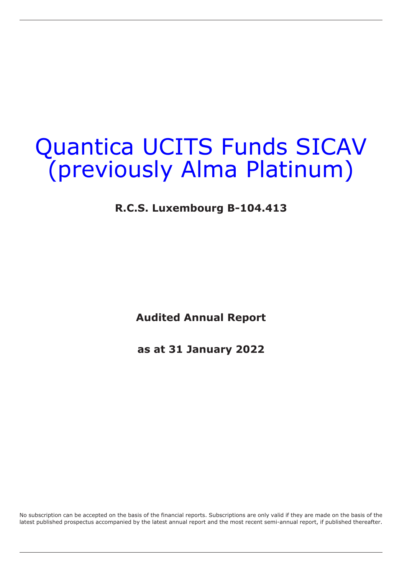## **R.C.S. Luxembourg B-104.413**

**Audited Annual Report**

**as at 31 January 2022**

No subscription can be accepted on the basis of the financial reports. Subscriptions are only valid if they are made on the basis of the latest published prospectus accompanied by the latest annual report and the most recent semi-annual report, if published thereafter.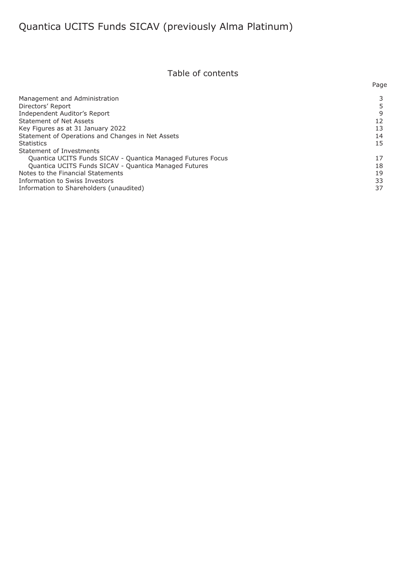## Table of contents

|                                                             | Page |
|-------------------------------------------------------------|------|
| Management and Administration                               |      |
| Directors' Report                                           |      |
| Independent Auditor's Report                                | 9    |
| <b>Statement of Net Assets</b>                              | 12   |
| Key Figures as at 31 January 2022                           | 13   |
| Statement of Operations and Changes in Net Assets           | 14   |
| <b>Statistics</b>                                           | 15   |
| Statement of Investments                                    |      |
| Quantica UCITS Funds SICAV - Quantica Managed Futures Focus | 17   |
| Quantica UCITS Funds SICAV - Quantica Managed Futures       | 18   |
| Notes to the Financial Statements                           | 19   |
| Information to Swiss Investors                              | 33   |
| Information to Shareholders (unaudited)                     | 37   |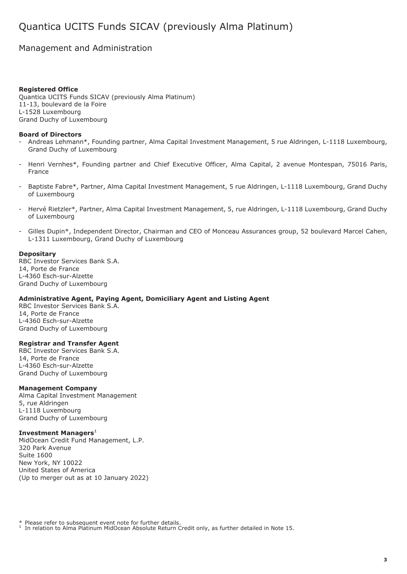## <span id="page-2-0"></span>Management and Administration

#### **Registered Office**

Quantica UCITS Funds SICAV (previously Alma Platinum) 11-13, boulevard de la Foire L-1528 Luxembourg Grand Duchy of Luxembourg

#### **Board of Directors**

- Andreas Lehmann\*, Founding partner, Alma Capital Investment Management, 5 rue Aldringen, L-1118 Luxembourg, Grand Duchy of Luxembourg
- Henri Vernhes\*, Founding partner and Chief Executive Officer, Alma Capital, 2 avenue Montespan, 75016 Paris, France
- Baptiste Fabre\*, Partner, Alma Capital Investment Management, 5 rue Aldringen, L-1118 Luxembourg, Grand Duchy of Luxembourg
- Hervé Rietzler\*, Partner, Alma Capital Investment Management, 5, rue Aldringen, L-1118 Luxembourg, Grand Duchy of Luxembourg
- Gilles Dupin\*, Independent Director, Chairman and CEO of Monceau Assurances group, 52 boulevard Marcel Cahen, L-1311 Luxembourg, Grand Duchy of Luxembourg

#### **Depositary**

RBC Investor Services Bank S.A. 14, Porte de France L-4360 Esch-sur-Alzette Grand Duchy of Luxembourg

#### **Administrative Agent, Paying Agent, Domiciliary Agent and Listing Agent**

RBC Investor Services Bank S.A. 14, Porte de France L-4360 Esch-sur-Alzette Grand Duchy of Luxembourg

#### **Registrar and Transfer Agent**

RBC Investor Services Bank S.A. 14, Porte de France L-4360 Esch-sur-Alzette Grand Duchy of Luxembourg

#### **Management Company**

Alma Capital Investment Management 5, rue Aldringen L-1118 Luxembourg Grand Duchy of Luxembourg

#### **Investment Managers**<sup>1</sup>

MidOcean Credit Fund Management, L.P. 320 Park Avenue Suite 1600 New York, NY 10022 United States of America (Up to merger out as at 10 January 2022)

\* Please refer to subsequent event note for further details.

<sup>1</sup> In relation to Alma Platinum MidOcean Absolute Return Credit only, as further detailed in Note 15.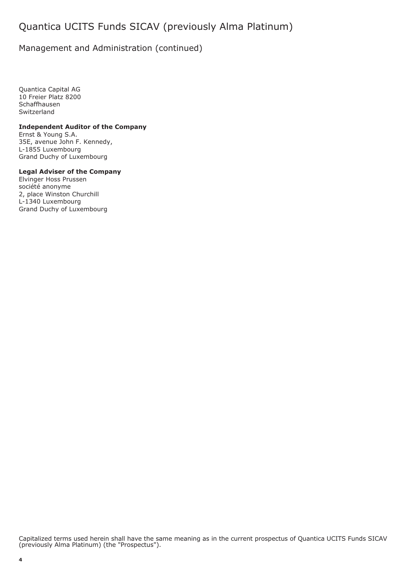## Management and Administration (continued)

Quantica Capital AG 10 Freier Platz 8200 Schaffhausen **Switzerland** 

### **Independent Auditor of the Company**

Ernst & Young S.A. 35E, avenue John F. Kennedy, L-1855 Luxembourg Grand Duchy of Luxembourg

#### **Legal Adviser of the Company**

Elvinger Hoss Prussen société anonyme 2, place Winston Churchill L-1340 Luxembourg Grand Duchy of Luxembourg

Capitalized terms used herein shall have the same meaning as in the current prospectus of Quantica UCITS Funds SICAV (previously Alma Platinum) (the "Prospectus").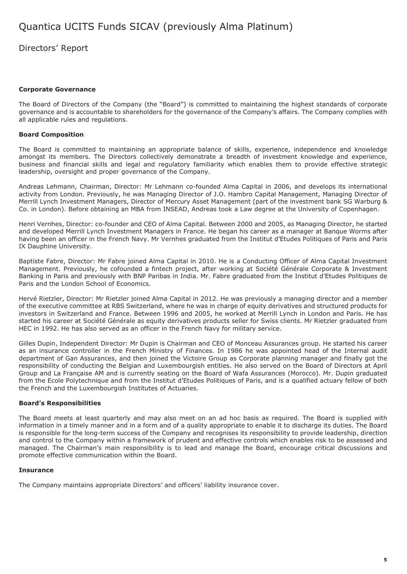<span id="page-4-0"></span>Directors' Report

### **Corporate Governance**

The Board of Directors of the Company (the "Board") is committed to maintaining the highest standards of corporate governance and is accountable to shareholders for the governance of the Company's affairs. The Company complies with all applicable rules and regulations.

### **Board Composition**

The Board is committed to maintaining an appropriate balance of skills, experience, independence and knowledge amongst its members. The Directors collectively demonstrate a breadth of investment knowledge and experience, business and financial skills and legal and regulatory familiarity which enables them to provide effective strategic leadership, oversight and proper governance of the Company.

Andreas Lehmann, Chairman, Director: Mr Lehmann co-founded Alma Capital in 2006, and develops its international activity from London. Previously, he was Managing Director of J.O. Hambro Capital Management, Managing Director of Merrill Lynch Investment Managers, Director of Mercury Asset Management (part of the investment bank SG Warburg & Co. in London). Before obtaining an MBA from INSEAD, Andreas took a Law degree at the University of Copenhagen.

Henri Vernhes, Director: co-founder and CEO of Alma Capital. Between 2000 and 2005, as Managing Director, he started and developed Merrill Lynch Investment Managers in France. He began his career as a manager at Banque Worms after having been an officer in the French Navy. Mr Vernhes graduated from the Institut d'Etudes Politiques of Paris and Paris IX Dauphine University.

Baptiste Fabre, Director: Mr Fabre joined Alma Capital in 2010. He is a Conducting Officer of Alma Capital Investment Management. Previously, he cofounded a fintech project, after working at Société Générale Corporate & Investment Banking in Paris and previously with BNP Paribas in India. Mr. Fabre graduated from the Institut d'Etudes Politiques de Paris and the London School of Economics.

Hervé Rietzler, Director: Mr Rietzler joined Alma Capital in 2012. He was previously a managing director and a member of the executive committee at RBS Switzerland, where he was in charge of equity derivatives and structured products for investors in Switzerland and France. Between 1996 and 2005, he worked at Merrill Lynch in London and Paris. He has started his career at Société Générale as equity derivatives products seller for Swiss clients. Mr Rietzler graduated from HEC in 1992. He has also served as an officer in the French Navy for military service.

Gilles Dupin, Independent Director: Mr Dupin is Chairman and CEO of Monceau Assurances group. He started his career as an insurance controller in the French Ministry of Finances. In 1986 he was appointed head of the Internal audit department of Gan Assurances, and then joined the Victoire Group as Corporate planning manager and finally got the responsibility of conducting the Belgian and Luxembourgish entities. He also served on the Board of Directors at April Group and La Française AM and is currently seating on the Board of Wafa Assurances (Morocco). Mr. Dupin graduated from the Ecole Polytechnique and from the Institut d'Etudes Politiques of Paris, and is a qualified actuary fellow of both the French and the Luxembourgish Institutes of Actuaries.

### **Board's Responsibilities**

The Board meets at least quarterly and may also meet on an ad hoc basis as required. The Board is supplied with information in a timely manner and in a form and of a quality appropriate to enable it to discharge its duties. The Board is responsible for the long-term success of the Company and recognises its responsibility to provide leadership, direction and control to the Company within a framework of prudent and effective controls which enables risk to be assessed and managed. The Chairman's main responsibility is to lead and manage the Board, encourage critical discussions and promote effective communication within the Board.

### **Insurance**

The Company maintains appropriate Directors' and officers' liability insurance cover.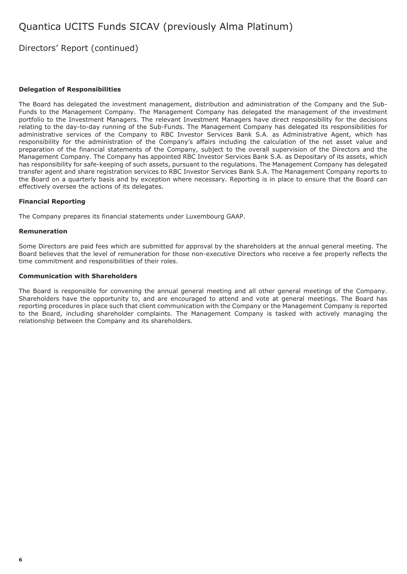## Directors' Report (continued)

#### **Delegation of Responsibilities**

The Board has delegated the investment management, distribution and administration of the Company and the Sub-Funds to the Management Company. The Management Company has delegated the management of the investment portfolio to the Investment Managers. The relevant Investment Managers have direct responsibility for the decisions relating to the day-to-day running of the Sub-Funds. The Management Company has delegated its responsibilities for administrative services of the Company to RBC Investor Services Bank S.A. as Administrative Agent, which has responsibility for the administration of the Company's affairs including the calculation of the net asset value and preparation of the financial statements of the Company, subject to the overall supervision of the Directors and the Management Company. The Company has appointed RBC Investor Services Bank S.A. as Depositary of its assets, which has responsibility for safe-keeping of such assets, pursuant to the regulations. The Management Company has delegated transfer agent and share registration services to RBC Investor Services Bank S.A. The Management Company reports to the Board on a quarterly basis and by exception where necessary. Reporting is in place to ensure that the Board can effectively oversee the actions of its delegates.

#### **Financial Reporting**

The Company prepares its financial statements under Luxembourg GAAP.

#### **Remuneration**

Some Directors are paid fees which are submitted for approval by the shareholders at the annual general meeting. The Board believes that the level of remuneration for those non-executive Directors who receive a fee properly reflects the time commitment and responsibilities of their roles.

#### **Communication with Shareholders**

The Board is responsible for convening the annual general meeting and all other general meetings of the Company. Shareholders have the opportunity to, and are encouraged to attend and vote at general meetings. The Board has reporting procedures in place such that client communication with the Company or the Management Company is reported to the Board, including shareholder complaints. The Management Company is tasked with actively managing the relationship between the Company and its shareholders.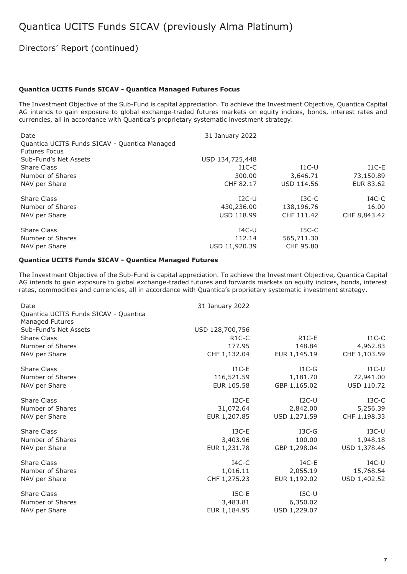## Directors' Report (continued)

#### **Quantica UCITS Funds SICAV - Quantica Managed Futures Focus**

The Investment Objective of the Sub-Fund is capital appreciation. To achieve the Investment Objective, Quantica Capital AG intends to gain exposure to global exchange-traded futures markets on equity indices, bonds, interest rates and currencies, all in accordance with Quantica's proprietary systematic investment strategy.

| Date<br>Quantica UCITS Funds SICAV - Quantica Managed<br><b>Futures Focus</b> | 31 January 2022   |                   |              |
|-------------------------------------------------------------------------------|-------------------|-------------------|--------------|
| Sub-Fund's Net Assets                                                         | USD 134,725,448   |                   |              |
| Share Class                                                                   | $I1C-C$           | $I1C-U$           | $I1C-E$      |
| Number of Shares                                                              | 300.00            | 3,646.71          | 73,150.89    |
| NAV per Share                                                                 | CHF 82.17         | <b>USD 114.56</b> | EUR 83.62    |
| <b>Share Class</b>                                                            | $I2C-U$           | $_{\rm I3C-C}$    | $IAC-C$      |
| Number of Shares                                                              | 430,236.00        | 138,196.76        | 16.00        |
| NAV per Share                                                                 | <b>USD 118.99</b> | CHF 111.42        | CHF 8,843.42 |
| Share Class                                                                   | $IAC-U$           | $ISC-C$           |              |
| Number of Shares                                                              | 112.14            | 565,711.30        |              |
| NAV per Share                                                                 | USD 11,920.39     | CHF 95.80         |              |

#### **Quantica UCITS Funds SICAV - Quantica Managed Futures**

The Investment Objective of the Sub-Fund is capital appreciation. To achieve the Investment Objective, Quantica Capital AG intends to gain exposure to global exchange-traded futures and forwards markets on equity indices, bonds, interest rates, commodities and currencies, all in accordance with Quantica's proprietary systematic investment strategy.

| Date                                                     | 31 January 2022 |              |              |
|----------------------------------------------------------|-----------------|--------------|--------------|
| Quantica UCITS Funds SICAV - Quantica<br>Managed Futures |                 |              |              |
| Sub-Fund's Net Assets                                    | USD 128,700,756 |              |              |
| Share Class                                              | $R1C-C$         | $R1C-E$      | $I1C-C$      |
| Number of Shares                                         | 177.95          | 148.84       | 4,962.83     |
| NAV per Share                                            | CHF 1,132.04    | EUR 1,145.19 | CHF 1,103.59 |
| Share Class                                              | $I1C-E$         | $I1C-G$      | $I1C-U$      |
| Number of Shares                                         | 116,521.59      | 1,181.70     | 72,941.00    |
| NAV per Share                                            | EUR 105.58      | GBP 1,165.02 | USD 110.72   |
| <b>Share Class</b>                                       | $I2C-E$         | $I2C-U$      | $I3C-C$      |
| Number of Shares                                         | 31,072.64       | 2,842.00     | 5,256.39     |
| NAV per Share                                            | EUR 1,207.85    | USD 1,271.59 | CHF 1,198.33 |
| <b>Share Class</b>                                       | $I3C-E$         | $I3C-G$      | $I3C-U$      |
| Number of Shares                                         | 3,403.96        | 100.00       | 1,948.18     |
| NAV per Share                                            | EUR 1,231.78    | GBP 1,298.04 | USD 1,378.46 |
| <b>Share Class</b>                                       | $IAC-C$         | $IAC-E$      | $IAC-U$      |
| Number of Shares                                         | 1,016.11        | 2,055.19     | 15,768.54    |
| NAV per Share                                            | CHF 1,275.23    | EUR 1,192.02 | USD 1,402.52 |
| <b>Share Class</b>                                       | $ISC-E$         | $ISC-U$      |              |
| Number of Shares                                         | 3,483.81        | 6,350.02     |              |
| NAV per Share                                            | EUR 1,184.95    | USD 1,229.07 |              |
|                                                          |                 |              |              |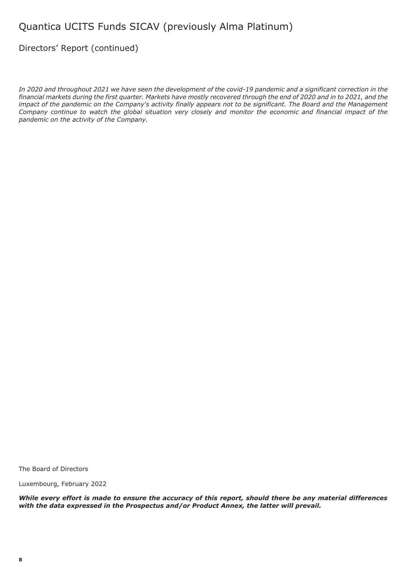## Directors' Report (continued)

*In 2020 and throughout 2021 we have seen the development of the covid-19 pandemic and a significant correction in the financial markets during the first quarter. Markets have mostly recovered through the end of 2020 and in to 2021, and the impact of the pandemic on the Company's activity finally appears not to be significant. The Board and the Management Company continue to watch the global situation very closely and monitor the economic and financial impact of the pandemic on the activity of the Company.*

The Board of Directors

Luxembourg, February 2022

*While every effort is made to ensure the accuracy of this report, should there be any material differences with the data expressed in the Prospectus and/or Product Annex, the latter will prevail.*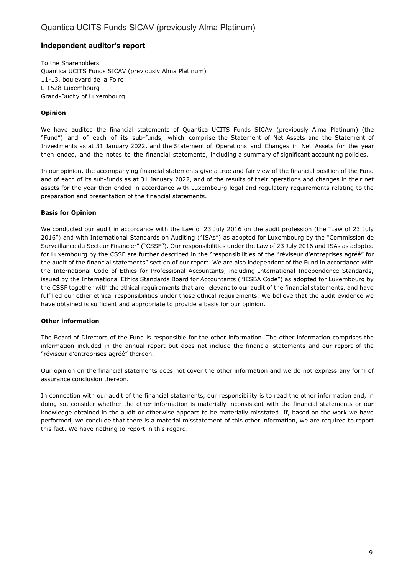## **Independent auditor's report**

To the Shareholders Quantica UCITS Funds SICAV (previously Alma Platinum) 11-13, boulevard de la Foire L-1528 Luxembourg Grand-Duchy of Luxembourg

### **Opinion**

We have audited the financial statements of Quantica UCITS Funds SICAV (previously Alma Platinum) (the "Fund") and of each of its sub-funds, which comprise the Statement of Net Assets and the Statement of Investments as at 31 January 2022, and the Statement of Operations and Changes in Net Assets for the year then ended, and the notes to the financial statements, including a summary of significant accounting policies.

In our opinion, the accompanying financial statements give a true and fair view of the financial position of the Fund and of each of its sub-funds as at 31 January 2022, and of the results of their operations and changes in their net assets for the year then ended in accordance with Luxembourg legal and regulatory requirements relating to the preparation and presentation of the financial statements.

### **Basis for Opinion**

We conducted our audit in accordance with the Law of 23 July 2016 on the audit profession (the "Law of 23 July 2016") and with International Standards on Auditing ("ISAs") as adopted for Luxembourg by the "Commission de Surveillance du Secteur Financier" ("CSSF"). Our responsibilities under the Law of 23 July 2016 and ISAs as adopted for Luxembourg by the CSSF are further described in the "responsibilities of the "réviseur d'entreprises agréé" for the audit of the financial statements" section of our report. We are also independent of the Fund in accordance with the International Code of Ethics for Professional Accountants, including International Independence Standards, issued by the International Ethics Standards Board for Accountants ("IESBA Code") as adopted for Luxembourg by the CSSF together with the ethical requirements that are relevant to our audit of the financial statements, and have fulfilled our other ethical responsibilities under those ethical requirements. We believe that the audit evidence we have obtained is sufficient and appropriate to provide a basis for our opinion.

### **Other information**

The Board of Directors of the Fund is responsible for the other information. The other information comprises the information included in the annual report but does not include the financial statements and our report of the "réviseur d'entreprises agréé" thereon.

Our opinion on the financial statements does not cover the other information and we do not express any form of assurance conclusion thereon.

In connection with our audit of the financial statements, our responsibility is to read the other information and, in doing so, consider whether the other information is materially inconsistent with the financial statements or our knowledge obtained in the audit or otherwise appears to be materially misstated. If, based on the work we have performed, we conclude that there is a material misstatement of this other information, we are required to report this fact. We have nothing to report in this regard.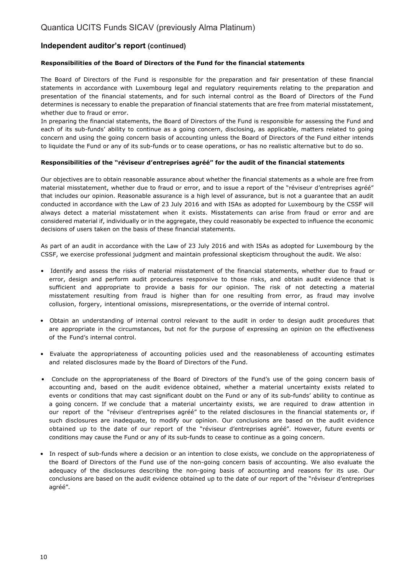## **Independent auditor's report (continued)**

### **Responsibilities of the Board of Directors of the Fund for the financial statements**

The Board of Directors of the Fund is responsible for the preparation and fair presentation of these financial statements in accordance with Luxembourg legal and regulatory requirements relating to the preparation and presentation of the financial statements, and for such internal control as the Board of Directors of the Fund determines is necessary to enable the preparation of financial statements that are free from material misstatement, whether due to fraud or error.

In preparing the financial statements, the Board of Directors of the Fund is responsible for assessing the Fund and each of its sub-funds' ability to continue as a going concern, disclosing, as applicable, matters related to going concern and using the going concern basis of accounting unless the Board of Directors of the Fund either intends to liquidate the Fund or any of its sub-funds or to cease operations, or has no realistic alternative but to do so.

### **Responsibilities of the "réviseur d'entreprises agréé" for the audit of the financial statements**

Our objectives are to obtain reasonable assurance about whether the financial statements as a whole are free from material misstatement, whether due to fraud or error, and to issue a report of the "réviseur d'entreprises agréé" that includes our opinion. Reasonable assurance is a high level of assurance, but is not a guarantee that an audit conducted in accordance with the Law of 23 July 2016 and with ISAs as adopted for Luxembourg by the CSSF will always detect a material misstatement when it exists. Misstatements can arise from fraud or error and are considered material if, individually or in the aggregate, they could reasonably be expected to influence the economic decisions of users taken on the basis of these financial statements.

As part of an audit in accordance with the Law of 23 July 2016 and with ISAs as adopted for Luxembourg by the CSSF, we exercise professional judgment and maintain professional skepticism throughout the audit. We also:

- Identify and assess the risks of material misstatement of the financial statements, whether due to fraud or error, design and perform audit procedures responsive to those risks, and obtain audit evidence that is sufficient and appropriate to provide a basis for our opinion. The risk of not detecting a material misstatement resulting from fraud is higher than for one resulting from error, as fraud may involve collusion, forgery, intentional omissions, misrepresentations, or the override of internal control.
- Obtain an understanding of internal control relevant to the audit in order to design audit procedures that are appropriate in the circumstances, but not for the purpose of expressing an opinion on the effectiveness of the Fund's internal control.
- Evaluate the appropriateness of accounting policies used and the reasonableness of accounting estimates and related disclosures made by the Board of Directors of the Fund.
- Conclude on the appropriateness of the Board of Directors of the Fund's use of the going concern basis of accounting and, based on the audit evidence obtained, whether a material uncertainty exists related to events or conditions that may cast significant doubt on the Fund or any of its sub-funds' ability to continue as a going concern. If we conclude that a material uncertainty exists, we are required to draw attention in our report of the "réviseur d'entreprises agréé" to the related disclosures in the financial statements or, if such disclosures are inadequate, to modify our opinion. Our conclusions are based on the audit evidence obtained up to the date of our report of the "réviseur d'entreprises agréé". However, future events or conditions may cause the Fund or any of its sub-funds to cease to continue as a going concern.
- In respect of sub-funds where a decision or an intention to close exists, we conclude on the appropriateness of the Board of Directors of the Fund use of the non-going concern basis of accounting. We also evaluate the adequacy of the disclosures describing the non-going basis of accounting and reasons for its use. Our conclusions are based on the audit evidence obtained up to the date of our report of the "réviseur d'entreprises agréé".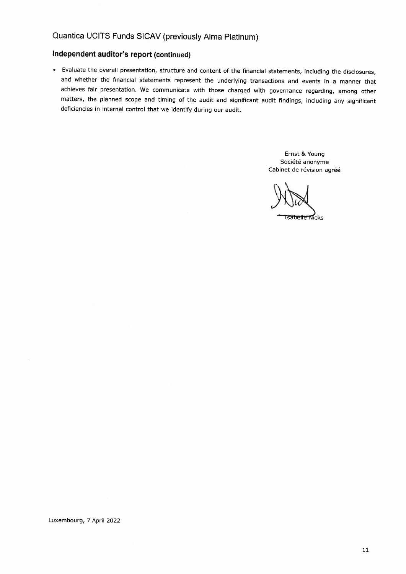## **Independent auditor's report (continued)**

• Evaluate the overall presentation, structure and content of the financial statements, including the disclosures, and whether the financial statements represent the underlying transactions and events in a manner that achieves fair presentation. We communicate with those charged with governance regarding, among other matters, the planned scope and timing of the audit and significant audit findings, including any significant deficiencies in internal control that we identify during our audit.

> Ernst & Young Société anonyme Cabinet de révision agréé

Tsabelle Nicks

Luxembourg, 7 April 2022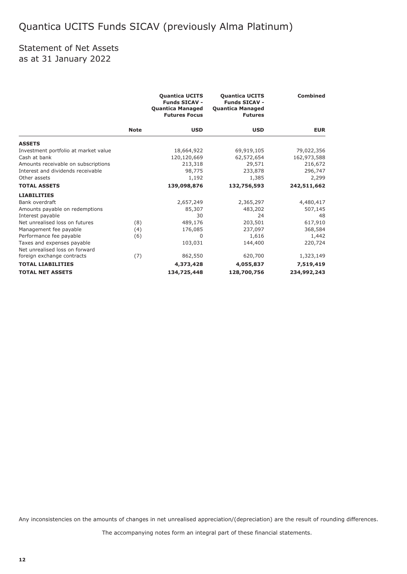## Statement of Net Assets as at 31 January 2022

|                                      |             | <b>Quantica UCITS</b><br><b>Funds SICAV -</b><br><b>Quantica Managed</b><br><b>Futures Focus</b> | <b>Quantica UCITS</b><br><b>Funds SICAV -</b><br><b>Quantica Managed</b><br><b>Futures</b> | <b>Combined</b> |
|--------------------------------------|-------------|--------------------------------------------------------------------------------------------------|--------------------------------------------------------------------------------------------|-----------------|
|                                      | <b>Note</b> | <b>USD</b>                                                                                       | <b>USD</b>                                                                                 | <b>EUR</b>      |
| <b>ASSETS</b>                        |             |                                                                                                  |                                                                                            |                 |
| Investment portfolio at market value |             | 18,664,922                                                                                       | 69,919,105                                                                                 | 79,022,356      |
| Cash at bank                         |             | 120,120,669                                                                                      | 62,572,654                                                                                 | 162,973,588     |
| Amounts receivable on subscriptions  |             | 213,318                                                                                          | 29,571                                                                                     | 216,672         |
| Interest and dividends receivable    |             | 98,775                                                                                           | 233,878                                                                                    | 296,747         |
| Other assets                         |             | 1,192                                                                                            | 1,385                                                                                      | 2,299           |
| <b>TOTAL ASSETS</b>                  |             | 139,098,876                                                                                      | 132,756,593                                                                                | 242,511,662     |
| <b>LIABILITIES</b>                   |             |                                                                                                  |                                                                                            |                 |
| Bank overdraft                       |             | 2,657,249                                                                                        | 2,365,297                                                                                  | 4,480,417       |
| Amounts payable on redemptions       |             | 85,307                                                                                           | 483,202                                                                                    | 507,145         |
| Interest payable                     |             | 30                                                                                               | 24                                                                                         | 48              |
| Net unrealised loss on futures       | (8)         | 489,176                                                                                          | 203,501                                                                                    | 617,910         |
| Management fee payable               | (4)         | 176,085                                                                                          | 237,097                                                                                    | 368,584         |
| Performance fee payable              | (6)         | $\Omega$                                                                                         | 1,616                                                                                      | 1,442           |
| Taxes and expenses payable           |             | 103,031                                                                                          | 144,400                                                                                    | 220,724         |
| Net unrealised loss on forward       |             |                                                                                                  |                                                                                            |                 |
| foreign exchange contracts           | (7)         | 862,550                                                                                          | 620,700                                                                                    | 1,323,149       |
| <b>TOTAL LIABILITIES</b>             |             | 4,373,428                                                                                        | 4,055,837                                                                                  | 7,519,419       |
| <b>TOTAL NET ASSETS</b>              |             | 134,725,448                                                                                      | 128,700,756                                                                                | 234,992,243     |

Any inconsistencies on the amounts of changes in net unrealised appreciation/(depreciation) are the result of rounding differences.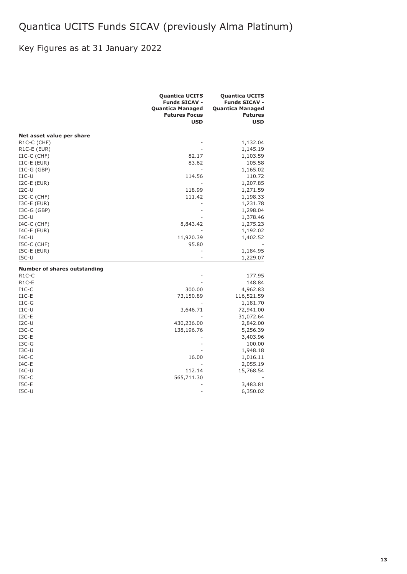## Key Figures as at 31 January 2022

|                                     | <b>Quantica UCITS</b><br><b>Funds SICAV -</b><br><b>Quantica Managed</b><br><b>Futures Focus</b><br><b>USD</b> | <b>Quantica UCITS</b><br><b>Funds SICAV -</b><br><b>Quantica Managed</b><br><b>Futures</b><br><b>USD</b> |
|-------------------------------------|----------------------------------------------------------------------------------------------------------------|----------------------------------------------------------------------------------------------------------|
| Net asset value per share           |                                                                                                                |                                                                                                          |
| R1C-C (CHF)                         |                                                                                                                | 1,132.04                                                                                                 |
| R <sub>1</sub> C-E (EUR)            |                                                                                                                | 1,145.19                                                                                                 |
| $I1C-C$ (CHF)                       | 82.17                                                                                                          | 1,103.59                                                                                                 |
| $I1C-E$ (EUR)                       | 83.62                                                                                                          | 105.58                                                                                                   |
| $IC-G(GBP)$                         |                                                                                                                | 1,165.02                                                                                                 |
| $I1C-U$                             | 114.56                                                                                                         | 110.72                                                                                                   |
| $I2C-E$ (EUR)                       |                                                                                                                | 1,207.85                                                                                                 |
| $I2C-U$                             | 118.99                                                                                                         | 1,271.59                                                                                                 |
| I3C-C (CHF)                         | 111.42                                                                                                         | 1,198.33                                                                                                 |
| $ISC-E$ (EUR)                       |                                                                                                                | 1,231.78                                                                                                 |
| $ISC-G(GBP)$                        |                                                                                                                | 1,298.04                                                                                                 |
| $I3C-U$                             |                                                                                                                | 1,378.46                                                                                                 |
| $I4C-C$ (CHF)                       | 8,843.42                                                                                                       | 1,275.23                                                                                                 |
| $I4C-E$ (EUR)                       |                                                                                                                | 1,192.02                                                                                                 |
| $IAC-U$                             | 11,920.39                                                                                                      | 1,402.52                                                                                                 |
| I5C-C (CHF)                         | 95.80                                                                                                          |                                                                                                          |
| $ISC-E$ (EUR)                       |                                                                                                                | 1,184.95                                                                                                 |
| $ISC-U$                             |                                                                                                                | 1,229.07                                                                                                 |
| <b>Number of shares outstanding</b> |                                                                                                                |                                                                                                          |
| R <sub>1</sub> C-C                  |                                                                                                                | 177.95                                                                                                   |
| R <sub>1</sub> C-E                  |                                                                                                                | 148.84                                                                                                   |
| $I1C-C$                             | 300.00                                                                                                         | 4,962.83                                                                                                 |
| $I1C-E$                             | 73,150.89                                                                                                      | 116,521.59                                                                                               |
| $I1C-G$                             |                                                                                                                | 1,181.70                                                                                                 |
| $I1C-U$                             | 3,646.71                                                                                                       | 72,941.00                                                                                                |
| $I2C-E$                             |                                                                                                                | 31,072.64                                                                                                |
| $I2C-U$                             | 430,236.00                                                                                                     | 2,842.00                                                                                                 |
| $_{\text{I3C-C}}$                   | 138,196.76                                                                                                     | 5,256.39                                                                                                 |
| $I3C-E$                             |                                                                                                                | 3,403.96                                                                                                 |
| $I3C-G$                             |                                                                                                                | 100.00                                                                                                   |
| $I3C-U$                             |                                                                                                                | 1,948.18                                                                                                 |
| $IAC-C$                             | 16.00                                                                                                          | 1,016.11                                                                                                 |
| $IAC-E$                             |                                                                                                                | 2,055.19                                                                                                 |
| $IAC-U$                             | 112.14                                                                                                         | 15,768.54                                                                                                |
| $ISC-C$                             | 565,711.30                                                                                                     |                                                                                                          |
| $ISC-E$                             |                                                                                                                | 3,483.81                                                                                                 |
| $ISC-U$                             | L.                                                                                                             | 6,350.02                                                                                                 |
|                                     |                                                                                                                |                                                                                                          |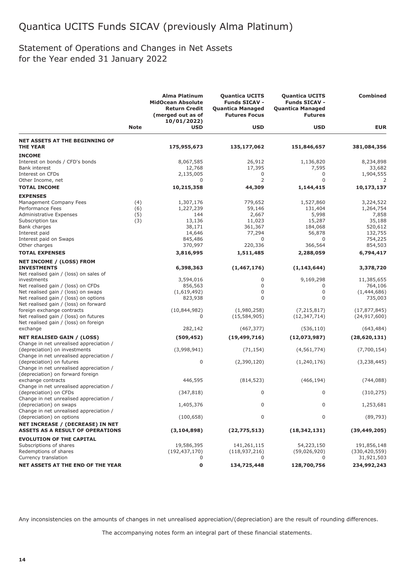## Statement of Operations and Changes in Net Assets for the Year ended 31 January 2022

|                                                                          |             | <b>Alma Platinum</b><br><b>MidOcean Absolute</b><br><b>Return Credit</b><br>(merged out as of<br>10/01/2022) | <b>Quantica UCITS</b><br><b>Funds SICAV -</b><br><b>Quantica Managed</b><br><b>Futures Focus</b> | <b>Quantica UCITS</b><br><b>Funds SICAV -</b><br><b>Quantica Managed</b><br><b>Futures</b> | <b>Combined</b> |
|--------------------------------------------------------------------------|-------------|--------------------------------------------------------------------------------------------------------------|--------------------------------------------------------------------------------------------------|--------------------------------------------------------------------------------------------|-----------------|
|                                                                          | <b>Note</b> | <b>USD</b>                                                                                                   | <b>USD</b>                                                                                       | <b>USD</b>                                                                                 | <b>EUR</b>      |
| <b>NET ASSETS AT THE BEGINNING OF</b>                                    |             |                                                                                                              |                                                                                                  |                                                                                            |                 |
| <b>THE YEAR</b>                                                          |             | 175,955,673                                                                                                  | 135,177,062                                                                                      | 151,846,657                                                                                | 381,084,356     |
| <b>INCOME</b>                                                            |             |                                                                                                              |                                                                                                  |                                                                                            |                 |
| Interest on bonds / CFD's bonds                                          |             | 8,067,585                                                                                                    | 26,912                                                                                           | 1,136,820                                                                                  | 8,234,898       |
| <b>Bank interest</b>                                                     |             | 12,768                                                                                                       | 17,395                                                                                           | 7,595                                                                                      | 33,682          |
| Interest on CFDs                                                         |             | 2,135,005                                                                                                    | 0                                                                                                | 0                                                                                          | 1,904,555       |
| Other Income, net                                                        |             | 0                                                                                                            | 2                                                                                                | $\mathbf 0$                                                                                | 2               |
| <b>TOTAL INCOME</b>                                                      |             | 10,215,358                                                                                                   | 44,309                                                                                           | 1,144,415                                                                                  | 10,173,137      |
| <b>EXPENSES</b>                                                          |             |                                                                                                              |                                                                                                  |                                                                                            |                 |
| Management Company Fees                                                  | (4)         | 1,307,176                                                                                                    | 779,652                                                                                          | 1,527,860                                                                                  | 3,224,522       |
| Performance Fees                                                         | (6)         | 1,227,239                                                                                                    | 59,146                                                                                           | 131,404                                                                                    | 1,264,754       |
| <b>Administrative Expenses</b>                                           | (5)         | 144                                                                                                          | 2,667                                                                                            | 5,998                                                                                      | 7,858           |
| Subscription tax                                                         | (3)         | 13,136                                                                                                       | 11,023                                                                                           | 15,287                                                                                     | 35,188          |
| Bank charges                                                             |             | 38,171                                                                                                       | 361,367                                                                                          | 184,068                                                                                    | 520,612         |
| Interest paid                                                            |             | 14,646                                                                                                       | 77,294                                                                                           | 56,878                                                                                     | 132,755         |
| Interest paid on Swaps                                                   |             | 845,486                                                                                                      | 0                                                                                                | 0                                                                                          | 754,225         |
| Other charges                                                            |             | 370,997                                                                                                      | 220,336                                                                                          | 366,564                                                                                    | 854,503         |
| <b>TOTAL EXPENSES</b>                                                    |             |                                                                                                              |                                                                                                  | 2,288,059                                                                                  | 6,794,417       |
|                                                                          |             | 3,816,995                                                                                                    | 1,511,485                                                                                        |                                                                                            |                 |
| NET INCOME / (LOSS) FROM<br><b>INVESTMENTS</b>                           |             | 6,398,363                                                                                                    | (1, 467, 176)                                                                                    | (1, 143, 644)                                                                              | 3,378,720       |
| Net realised gain / (loss) on sales of                                   |             |                                                                                                              |                                                                                                  |                                                                                            |                 |
| investments                                                              |             | 3,594,016                                                                                                    | 0                                                                                                | 9,169,298                                                                                  | 11,385,655      |
| Net realised gain / (loss) on CFDs                                       |             | 856,563                                                                                                      | 0                                                                                                | 0                                                                                          | 764,106         |
| Net realised gain / (loss) on swaps                                      |             | (1,619,492)                                                                                                  | 0                                                                                                | $\mathbf 0$                                                                                | (1,444,686)     |
| Net realised gain / (loss) on options                                    |             | 823,938                                                                                                      | $\Omega$                                                                                         | $\Omega$                                                                                   | 735,003         |
| Net realised gain / (loss) on forward                                    |             |                                                                                                              |                                                                                                  |                                                                                            |                 |
| foreign exchange contracts                                               |             | (10,844,982)                                                                                                 | (1,980,258)                                                                                      | (7, 215, 817)                                                                              | (17, 877, 845)  |
| Net realised gain / (loss) on futures                                    |             | 0                                                                                                            | (15, 584, 905)                                                                                   | (12, 347, 714)                                                                             | (24, 917, 600)  |
| Net realised gain / (loss) on foreign                                    |             |                                                                                                              |                                                                                                  |                                                                                            |                 |
| exchange                                                                 |             | 282,142                                                                                                      | (467, 377)                                                                                       | (536, 110)                                                                                 | (643, 484)      |
| <b>NET REALISED GAIN / (LOSS)</b>                                        |             | (509, 452)                                                                                                   | (19, 499, 716)                                                                                   | (12,073,987)                                                                               | (28, 620, 131)  |
| Change in net unrealised appreciation /<br>(depreciation) on investments |             | (3,998,941)                                                                                                  | (71, 154)                                                                                        | (4, 561, 774)                                                                              | (7,700,154)     |
| Change in net unrealised appreciation /                                  |             |                                                                                                              |                                                                                                  |                                                                                            |                 |
| (depreciation) on futures                                                |             | 0                                                                                                            | (2,390,120)                                                                                      | (1, 240, 176)                                                                              | (3,238,445)     |
| Change in net unrealised appreciation /                                  |             |                                                                                                              |                                                                                                  |                                                                                            |                 |
| (depreciation) on forward foreign                                        |             |                                                                                                              |                                                                                                  |                                                                                            |                 |
| exchange contracts                                                       |             | 446,595                                                                                                      | (814, 523)                                                                                       | (466, 194)                                                                                 | (744, 088)      |
| Change in net unrealised appreciation /                                  |             |                                                                                                              |                                                                                                  |                                                                                            |                 |
| (depreciation) on CFDs                                                   |             | (347, 818)                                                                                                   | $\mathbf 0$                                                                                      | 0                                                                                          | (310, 275)      |
| Change in net unrealised appreciation /                                  |             |                                                                                                              |                                                                                                  |                                                                                            |                 |
| (depreciation) on swaps                                                  |             | 1,405,376                                                                                                    | 0                                                                                                | 0                                                                                          | 1,253,681       |
| Change in net unrealised appreciation /                                  |             |                                                                                                              |                                                                                                  |                                                                                            |                 |
| (depreciation) on options                                                |             | (100, 658)                                                                                                   | $\mathbf 0$                                                                                      | 0                                                                                          | (89, 793)       |
| NET INCREASE / (DECREASE) IN NET                                         |             |                                                                                                              |                                                                                                  |                                                                                            |                 |
| <b>ASSETS AS A RESULT OF OPERATIONS</b>                                  |             | (3, 104, 898)                                                                                                | (22, 775, 513)                                                                                   | (18, 342, 131)                                                                             | (39, 449, 205)  |
| <b>EVOLUTION OF THE CAPITAL</b>                                          |             |                                                                                                              |                                                                                                  |                                                                                            |                 |
| Subscriptions of shares                                                  |             | 19,586,395                                                                                                   | 141,261,115                                                                                      | 54,223,150                                                                                 | 191,856,148     |
| Redemptions of shares                                                    |             | (192, 437, 170)                                                                                              | (118, 937, 216)                                                                                  | (59,026,920)                                                                               | (330, 420, 559) |
| Currency translation                                                     |             | 0                                                                                                            | 0                                                                                                | 0                                                                                          | 31,921,503      |
| NET ASSETS AT THE END OF THE YEAR                                        |             | 0                                                                                                            |                                                                                                  | 128,700,756                                                                                | 234,992,243     |
|                                                                          |             |                                                                                                              | 134,725,448                                                                                      |                                                                                            |                 |

Any inconsistencies on the amounts of changes in net unrealised appreciation/(depreciation) are the result of rounding differences.

The accompanying notes form an integral part of these financial statements.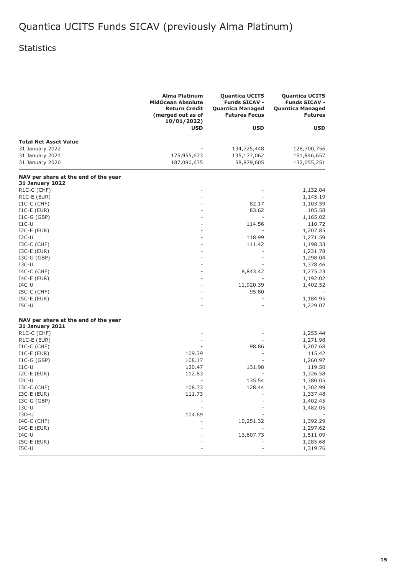## Statistics

|                                                                | <b>Alma Platinum</b><br><b>MidOcean Absolute</b><br><b>Return Credit</b><br>(merged out as of<br>10/01/2022) | <b>Quantica UCITS</b><br><b>Funds SICAV -</b><br><b>Quantica Managed</b><br><b>Futures Focus</b> | <b>Quantica UCITS</b><br><b>Funds SICAV -</b><br><b>Quantica Managed</b><br><b>Futures</b> |
|----------------------------------------------------------------|--------------------------------------------------------------------------------------------------------------|--------------------------------------------------------------------------------------------------|--------------------------------------------------------------------------------------------|
|                                                                | <b>USD</b>                                                                                                   | <b>USD</b>                                                                                       | <b>USD</b>                                                                                 |
| <b>Total Net Asset Value</b>                                   |                                                                                                              |                                                                                                  |                                                                                            |
| 31 January 2022                                                |                                                                                                              | 134,725,448                                                                                      | 128,700,756                                                                                |
| 31 January 2021                                                | 175,955,673                                                                                                  | 135,177,062                                                                                      | 151,846,657                                                                                |
| 31 January 2020                                                | 187,090,635                                                                                                  | 58,879,605                                                                                       | 132,055,251                                                                                |
| NAV per share at the end of the year<br><b>31 January 2022</b> |                                                                                                              |                                                                                                  |                                                                                            |
| R1C-C (CHF)                                                    |                                                                                                              |                                                                                                  | 1,132.04                                                                                   |
| R1C-E (EUR)                                                    |                                                                                                              |                                                                                                  | 1,145.19                                                                                   |
| $I1C-C$ (CHF)                                                  |                                                                                                              | 82.17                                                                                            | 1,103.59                                                                                   |
| $I1C-E$ (EUR)                                                  |                                                                                                              | 83.62                                                                                            | 105.58                                                                                     |
| $IC-G(GBP)$                                                    |                                                                                                              |                                                                                                  | 1,165.02                                                                                   |
| $I1C-U$                                                        |                                                                                                              | 114.56                                                                                           | 110.72                                                                                     |
| $I2C-E$ (EUR)                                                  |                                                                                                              |                                                                                                  | 1,207.85                                                                                   |
| $I2C-U$                                                        |                                                                                                              | 118.99                                                                                           | 1,271.59                                                                                   |
| $ISC-C$ (CHF)                                                  |                                                                                                              | 111.42                                                                                           | 1,198.33                                                                                   |
| $ISC-E$ (EUR)                                                  |                                                                                                              |                                                                                                  | 1,231.78                                                                                   |
| $ISC-G(GBP)$                                                   |                                                                                                              |                                                                                                  | 1,298.04                                                                                   |
| $_{\text{ISC-U}}$                                              |                                                                                                              |                                                                                                  | 1,378.46                                                                                   |
| $I4C-C$ (CHF)                                                  |                                                                                                              | 8,843.42                                                                                         | 1,275.23                                                                                   |
| $I4C-E$ (EUR)                                                  |                                                                                                              |                                                                                                  | 1,192.02                                                                                   |
| $IAC-U$                                                        |                                                                                                              | 11,920.39                                                                                        | 1,402.52                                                                                   |
| $ISC-C$ ( $CHF$ )                                              |                                                                                                              | 95.80                                                                                            |                                                                                            |
| $ISC-E$ (EUR)                                                  |                                                                                                              |                                                                                                  | 1,184.95                                                                                   |
| $ISC-U$                                                        |                                                                                                              |                                                                                                  | 1,229.07                                                                                   |
| NAV per share at the end of the year                           |                                                                                                              |                                                                                                  |                                                                                            |
| <b>31 January 2021</b>                                         |                                                                                                              |                                                                                                  |                                                                                            |
| R1C-C (CHF)                                                    |                                                                                                              |                                                                                                  | 1,255.44                                                                                   |
| R1C-E (EUR)<br>$I1C-C$ (CHF)                                   |                                                                                                              | 98.86                                                                                            | 1,271.98                                                                                   |
| $I1C-E$ (EUR)                                                  | 109.39                                                                                                       |                                                                                                  | 1,207.68<br>115.42                                                                         |
| $IC-G(GBP)$                                                    | 108.17                                                                                                       |                                                                                                  | 1,260.97                                                                                   |
| $I1C-U$                                                        | 120.47                                                                                                       | 131.98                                                                                           | 119.50                                                                                     |
| $I2C-E$ (EUR)                                                  | 112.83                                                                                                       |                                                                                                  | 1,326.58                                                                                   |
| $I2C-U$                                                        |                                                                                                              | 135.54                                                                                           |                                                                                            |
| I3C-C (CHF)                                                    | 108.73                                                                                                       | 128.44                                                                                           | 1,380.05<br>1,302.99                                                                       |
| I3C-E (EUR)                                                    | 111.73                                                                                                       |                                                                                                  | 1,337.48                                                                                   |
| $ISC-G(GBP)$                                                   |                                                                                                              |                                                                                                  |                                                                                            |
| $IO-U$                                                         |                                                                                                              |                                                                                                  | 1,402.45                                                                                   |
| I3D-U                                                          | 104.69                                                                                                       |                                                                                                  | 1,482.05                                                                                   |
| $I4C-C$ (CHF)                                                  |                                                                                                              | 10,251.32                                                                                        | 1,392.29                                                                                   |
| $I4C-E$ (EUR)                                                  |                                                                                                              |                                                                                                  | 1,297.62                                                                                   |
| $IAC-U$                                                        |                                                                                                              | 13,607.73                                                                                        | 1,511.09                                                                                   |
| I5C-E (EUR)                                                    |                                                                                                              |                                                                                                  | 1,285.68                                                                                   |
| $ISC-U$                                                        |                                                                                                              |                                                                                                  |                                                                                            |
|                                                                |                                                                                                              |                                                                                                  | 1,319.76                                                                                   |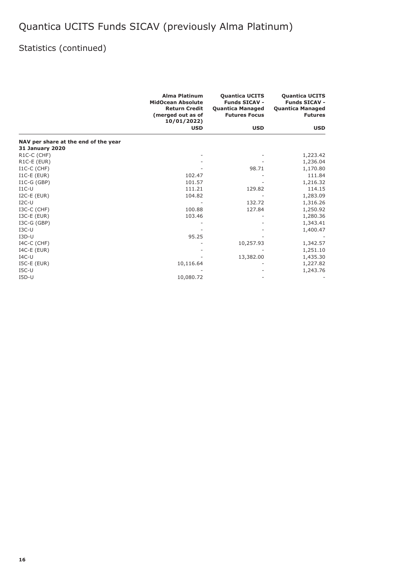## Statistics (continued)

|                                      | <b>Alma Platinum</b><br><b>Quantica UCITS</b><br><b>MidOcean Absolute</b><br><b>Funds SICAV -</b><br><b>Return Credit</b><br><b>Quantica Managed</b><br>(merged out as of<br><b>Futures Focus</b><br>10/01/2022) |            | <b>Quantica UCITS</b><br><b>Funds SICAV -</b><br><b>Quantica Managed</b><br><b>Futures</b> |
|--------------------------------------|------------------------------------------------------------------------------------------------------------------------------------------------------------------------------------------------------------------|------------|--------------------------------------------------------------------------------------------|
|                                      | <b>USD</b>                                                                                                                                                                                                       | <b>USD</b> | <b>USD</b>                                                                                 |
| NAV per share at the end of the year |                                                                                                                                                                                                                  |            |                                                                                            |
| <b>31 January 2020</b>               |                                                                                                                                                                                                                  |            |                                                                                            |
| R <sub>1</sub> C-C (CHF)             |                                                                                                                                                                                                                  |            | 1,223.42                                                                                   |
| R1C-E (EUR)                          |                                                                                                                                                                                                                  |            | 1,236.04                                                                                   |
| $I1C-C$ (CHF)                        |                                                                                                                                                                                                                  | 98.71      | 1,170.80                                                                                   |
| $I1C-E$ (EUR)                        | 102.47                                                                                                                                                                                                           |            | 111.84                                                                                     |
| $I1C-G(GBP)$                         | 101.57                                                                                                                                                                                                           |            | 1,216.32                                                                                   |
| $I1C-U$                              | 111.21                                                                                                                                                                                                           | 129.82     | 114.15                                                                                     |
| $I2C-E$ (EUR)                        | 104.82                                                                                                                                                                                                           |            | 1,283.09                                                                                   |
| $I2C-U$                              |                                                                                                                                                                                                                  | 132.72     | 1,316.26                                                                                   |
| I3C-C (CHF)                          | 100.88                                                                                                                                                                                                           | 127.84     | 1,250.92                                                                                   |
| $ISC-E$ (EUR)                        | 103.46                                                                                                                                                                                                           |            | 1,280.36                                                                                   |
| $ISC-G(GBP)$                         |                                                                                                                                                                                                                  |            | 1,343.41                                                                                   |
| $_{\text{ISC-U}}$                    |                                                                                                                                                                                                                  |            | 1,400.47                                                                                   |
| $I3D-U$                              | 95.25                                                                                                                                                                                                            |            |                                                                                            |
| $I4C-C$ (CHF)                        |                                                                                                                                                                                                                  | 10,257.93  | 1,342.57                                                                                   |
| $I4C-E$ (EUR)                        |                                                                                                                                                                                                                  |            | 1,251.10                                                                                   |
| $IAC-U$                              |                                                                                                                                                                                                                  | 13,382.00  | 1,435.30                                                                                   |
| $ISC-E$ (EUR)                        | 10,116.64                                                                                                                                                                                                        |            | 1,227.82                                                                                   |
| $ISC-U$                              |                                                                                                                                                                                                                  |            | 1,243.76                                                                                   |
| $I5D-U$                              | 10,080.72                                                                                                                                                                                                        |            |                                                                                            |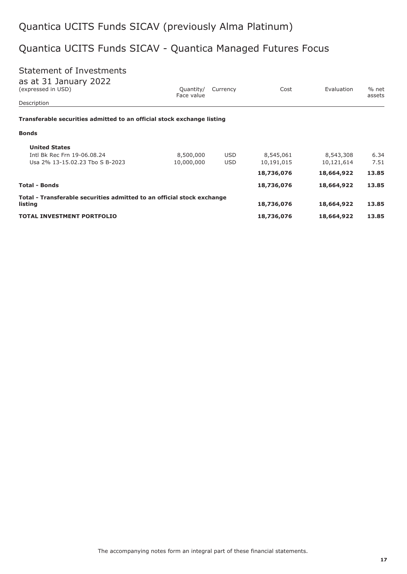## Quantica UCITS Funds SICAV - Quantica Managed Futures Focus

## Statement of Investments

|  |  |  | as at 31 January 2022 |  |
|--|--|--|-----------------------|--|
|--|--|--|-----------------------|--|

| (expressed in USD)                                                     | Quantity/<br>Face value | Currency   | Cost       | Evaluation | % net<br>assets |
|------------------------------------------------------------------------|-------------------------|------------|------------|------------|-----------------|
| Description                                                            |                         |            |            |            |                 |
| Transferable securities admitted to an official stock exchange listing |                         |            |            |            |                 |
| <b>Bonds</b>                                                           |                         |            |            |            |                 |
| <b>United States</b>                                                   |                         |            |            |            |                 |
| Intl Bk Rec Frn 19-06.08.24                                            | 8,500,000               | <b>USD</b> | 8,545,061  | 8,543,308  | 6.34            |
| Usa 2% 13-15.02.23 Tho S B-2023                                        | 10,000,000              | <b>USD</b> | 10,191,015 | 10,121,614 | 7.51            |
|                                                                        |                         |            | 18,736,076 | 18,664,922 | 13.85           |
| <b>Total - Bonds</b>                                                   |                         |            | 18,736,076 | 18,664,922 | 13.85           |
| Total - Transferable securities admitted to an official stock exchange |                         |            |            |            |                 |
| listing                                                                |                         |            | 18,736,076 | 18,664,922 | 13.85           |
| <b>TOTAL INVESTMENT PORTFOLIO</b>                                      |                         |            | 18,736,076 | 18,664,922 | 13.85           |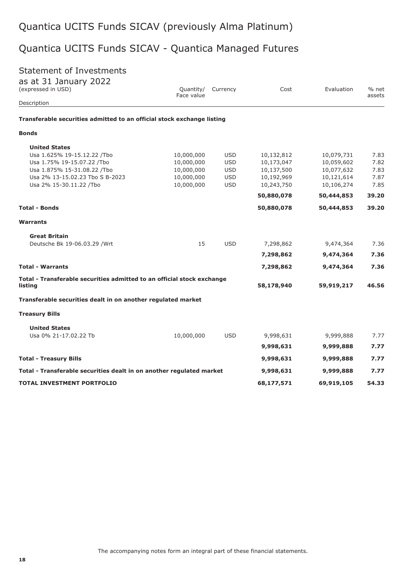## Quantica UCITS Funds SICAV - Quantica Managed Futures

## Statement of Investments

| as at 31 January 2022 |  |
|-----------------------|--|
| (expressed in USD)    |  |

| (expressed in USD)                                                                | Quantity/<br>Face value | Currency   | Cost       | Evaluation | % net<br>assets |
|-----------------------------------------------------------------------------------|-------------------------|------------|------------|------------|-----------------|
| Description                                                                       |                         |            |            |            |                 |
| Transferable securities admitted to an official stock exchange listing            |                         |            |            |            |                 |
| <b>Bonds</b>                                                                      |                         |            |            |            |                 |
| <b>United States</b>                                                              |                         |            |            |            |                 |
| Usa 1.625% 19-15.12.22 /Tbo                                                       | 10,000,000              | <b>USD</b> | 10,132,812 | 10,079,731 | 7.83            |
| Usa 1.75% 19-15.07.22 /Tbo                                                        | 10,000,000              | <b>USD</b> | 10,173,047 | 10,059,602 | 7.82            |
| Usa 1.875% 15-31.08.22 /Tbo                                                       | 10,000,000              | <b>USD</b> | 10,137,500 | 10,077,632 | 7.83            |
| Usa 2% 13-15.02.23 Tbo S B-2023                                                   | 10,000,000              | <b>USD</b> | 10,192,969 | 10,121,614 | 7.87            |
| Usa 2% 15-30.11.22 /Tbo                                                           | 10,000,000              | <b>USD</b> | 10,243,750 | 10,106,274 | 7.85            |
|                                                                                   |                         |            | 50,880,078 | 50,444,853 | 39.20           |
| <b>Total - Bonds</b>                                                              |                         |            | 50,880,078 | 50,444,853 | 39.20           |
| <b>Warrants</b>                                                                   |                         |            |            |            |                 |
| <b>Great Britain</b>                                                              |                         |            |            |            |                 |
| Deutsche Bk 19-06.03.29 / Wrt                                                     | 15                      | <b>USD</b> | 7,298,862  | 9,474,364  | 7.36            |
|                                                                                   |                         |            | 7,298,862  | 9,474,364  | 7.36            |
| <b>Total - Warrants</b>                                                           |                         |            | 7,298,862  | 9,474,364  | 7.36            |
| Total - Transferable securities admitted to an official stock exchange<br>listing |                         |            | 58,178,940 | 59,919,217 | 46.56           |
|                                                                                   |                         |            |            |            |                 |
| Transferable securities dealt in on another regulated market                      |                         |            |            |            |                 |
| <b>Treasury Bills</b>                                                             |                         |            |            |            |                 |
| <b>United States</b>                                                              |                         |            |            |            |                 |
| Usa 0% 21-17.02.22 Tb                                                             | 10,000,000              | <b>USD</b> | 9,998,631  | 9,999,888  | 7.77            |
|                                                                                   |                         |            | 9,998,631  | 9,999,888  | 7.77            |
| <b>Total - Treasury Bills</b>                                                     |                         |            | 9,998,631  | 9,999,888  | 7.77            |
| Total - Transferable securities dealt in on another regulated market              |                         |            | 9,998,631  | 9,999,888  | 7.77            |
| <b>TOTAL INVESTMENT PORTFOLIO</b>                                                 |                         |            | 68,177,571 | 69,919,105 | 54.33           |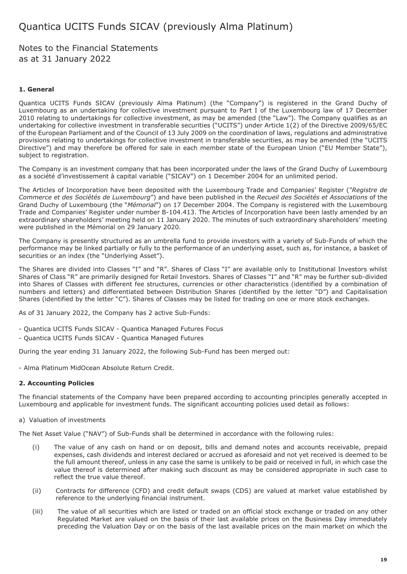Notes to the Financial Statements as at 31 January 2022

### **1. General**

Quantica UCITS Funds SICAV (previously Alma Platinum) (the "Company") is registered in the Grand Duchy of Luxembourg as an undertaking for collective investment pursuant to Part I of the Luxembourg law of 17 December 2010 relating to undertakings for collective investment, as may be amended (the "Law"). The Company qualifies as an undertaking for collective investment in transferable securities ("UCITS") under Article 1(2) of the Directive 2009/65/EC of the European Parliament and of the Council of 13 July 2009 on the coordination of laws, regulations and administrative provisions relating to undertakings for collective investment in transferable securities, as may be amended (the "UCITS Directive") and may therefore be offered for sale in each member state of the European Union ("EU Member State"), subject to registration.

The Company is an investment company that has been incorporated under the laws of the Grand Duchy of Luxembourg as a société d'investissement à capital variable ("SICAV") on 1 December 2004 for an unlimited period.

The Articles of Incorporation have been deposited with the Luxembourg Trade and Companies' Register (*"Registre de Commerce et des Sociétés de Luxembourg*") and have been published in the *Recueil des Sociétés et Associations* of the Grand Duchy of Luxembourg (the "*Mémorial*") on 17 December 2004. The Company is registered with the Luxembourg Trade and Companies' Register under number B-104.413. The Articles of Incorporation have been lastly amended by an extraordinary shareholders' meeting held on 11 January 2020. The minutes of such extraordinary shareholders' meeting were published in the Mémorial on 29 January 2020.

The Company is presently structured as an umbrella fund to provide investors with a variety of Sub-Funds of which the performance may be linked partially or fully to the performance of an underlying asset, such as, for instance, a basket of securities or an index (the "Underlying Asset").

The Shares are divided into Classes "I" and "R". Shares of Class "I" are available only to Institutional Investors whilst Shares of Class "R" are primarily designed for Retail Investors. Shares of Classes "I" and "R" may be further sub-divided into Shares of Classes with different fee structures, currencies or other characteristics (identified by a combination of numbers and letters) and differentiated between Distribution Shares (identified by the letter "D") and Capitalisation Shares (identified by the letter "C"). Shares of Classes may be listed for trading on one or more stock exchanges.

As of 31 January 2022, the Company has 2 active Sub-Funds:

- Quantica UCITS Funds SICAV Quantica Managed Futures Focus
- Quantica UCITS Funds SICAV Quantica Managed Futures

During the year ending 31 January 2022, the following Sub-Fund has been merged out:

- Alma Platinum MidOcean Absolute Return Credit.

### **2. Accounting Policies**

The financial statements of the Company have been prepared according to accounting principles generally accepted in Luxembourg and applicable for investment funds. The significant accounting policies used detail as follows:

a) Valuation of investments

The Net Asset Value ("NAV") of Sub-Funds shall be determined in accordance with the following rules:

- (i) The value of any cash on hand or on deposit, bills and demand notes and accounts receivable, prepaid expenses, cash dividends and interest declared or accrued as aforesaid and not yet received is deemed to be the full amount thereof, unless in any case the same is unlikely to be paid or received in full, in which case the value thereof is determined after making such discount as may be considered appropriate in such case to reflect the true value thereof.
- (ii) Contracts for difference (CFD) and credit default swaps (CDS) are valued at market value established by reference to the underlying financial instrument.
- (iii) The value of all securities which are listed or traded on an official stock exchange or traded on any other Regulated Market are valued on the basis of their last available prices on the Business Day immediately preceding the Valuation Day or on the basis of the last available prices on the main market on which the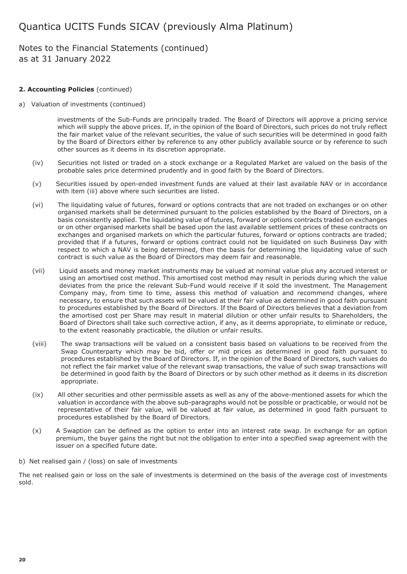## Notes to the Financial Statements (continued) as at 31 January 2022

### **2. Accounting Policies** (continued)

### a) Valuation of investments (continued)

investments of the Sub-Funds are principally traded. The Board of Directors will approve a pricing service which will supply the above prices. If, in the opinion of the Board of Directors, such prices do not truly reflect the fair market value of the relevant securities, the value of such securities will be determined in good faith by the Board of Directors either by reference to any other publicly available source or by reference to such other sources as it deems in its discretion appropriate.

- (iv) Securities not listed or traded on a stock exchange or a Regulated Market are valued on the basis of the probable sales price determined prudently and in good faith by the Board of Directors.
- (v) Securities issued by open-ended investment funds are valued at their last available NAV or in accordance with item (iii) above where such securities are listed.
- (vi) The liquidating value of futures, forward or options contracts that are not traded on exchanges or on other organised markets shall be determined pursuant to the policies established by the Board of Directors, on a basis consistently applied. The liquidating value of futures, forward or options contracts traded on exchanges or on other organised markets shall be based upon the last available settlement prices of these contracts on exchanges and organised markets on which the particular futures, forward or options contracts are traded; provided that if a futures, forward or options contract could not be liquidated on such Business Day with respect to which a NAV is being determined, then the basis for determining the liquidating value of such contract is such value as the Board of Directors may deem fair and reasonable.
- (vii) Liquid assets and money market instruments may be valued at nominal value plus any accrued interest or using an amortised cost method. This amortised cost method may result in periods during which the value deviates from the price the relevant Sub-Fund would receive if it sold the investment. The Management Company may, from time to time, assess this method of valuation and recommend changes, where necessary, to ensure that such assets will be valued at their fair value as determined in good faith pursuant to procedures established by the Board of Directors. If the Board of Directors believes that a deviation from the amortised cost per Share may result in material dilution or other unfair results to Shareholders, the Board of Directors shall take such corrective action, if any, as it deems appropriate, to eliminate or reduce, to the extent reasonably practicable, the dilution or unfair results.
- (viii) The swap transactions will be valued on a consistent basis based on valuations to be received from the Swap Counterparty which may be bid, offer or mid prices as determined in good faith pursuant to procedures established by the Board of Directors. If, in the opinion of the Board of Directors, such values do not reflect the fair market value of the relevant swap transactions, the value of such swap transactions will be determined in good faith by the Board of Directors or by such other method as it deems in its discretion appropriate.
- (ix) All other securities and other permissible assets as well as any of the above-mentioned assets for which the valuation in accordance with the above sub-paragraphs would not be possible or practicable, or would not be representative of their fair value, will be valued at fair value, as determined in good faith pursuant to procedures established by the Board of Directors.
- (x) A Swaption can be defined as the option to enter into an interest rate swap. In exchange for an option premium, the buyer gains the right but not the obligation to enter into a specified swap agreement with the issuer on a specified future date.
- b) Net realised gain / (loss) on sale of investments

The net realised gain or loss on the sale of investments is determined on the basis of the average cost of investments sold.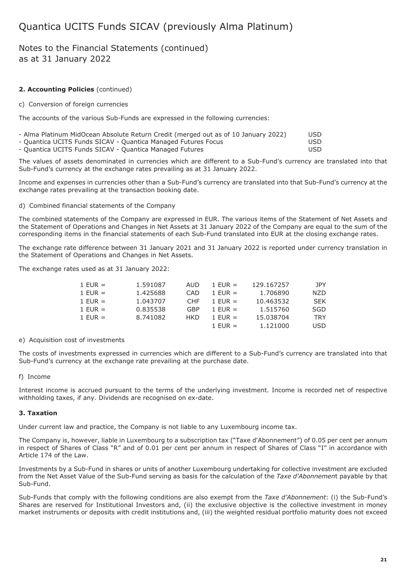## Notes to the Financial Statements (continued) as at 31 January 2022

## **2. Accounting Policies** (continued)

#### c) Conversion of foreign currencies

The accounts of the various Sub-Funds are expressed in the following currencies:

| - Alma Platinum MidOcean Absolute Return Credit (merged out as of 10 January 2022) | USD  |
|------------------------------------------------------------------------------------|------|
| - Quantica UCITS Funds SICAV - Quantica Managed Futures Focus                      | USD. |
| - Quantica UCITS Funds SICAV - Quantica Managed Futures                            | USD. |

The values of assets denominated in currencies which are different to a Sub-Fund's currency are translated into that Sub-Fund's currency at the exchange rates prevailing as at 31 January 2022.

Income and expenses in currencies other than a Sub-Fund's currency are translated into that Sub-Fund's currency at the exchange rates prevailing at the transaction booking date.

### d) Combined financial statements of the Company

The combined statements of the Company are expressed in EUR. The various items of the Statement of Net Assets and the Statement of Operations and Changes in Net Assets at 31 January 2022 of the Company are equal to the sum of the corresponding items in the financial statements of each Sub-Fund translated into EUR at the closing exchange rates.

The exchange rate difference between 31 January 2021 and 31 January 2022 is reported under currency translation in the Statement of Operations and Changes in Net Assets.

The exchange rates used as at 31 January 2022:

| $1$ EUR $=$ | 1.591087 | AUD        | 1 FUR $=$ | 129.167257 | JPY        |
|-------------|----------|------------|-----------|------------|------------|
| $1$ EUR =   | 1.425688 | CAD        | 1 FUR $=$ | 1.706890   | <b>NZD</b> |
| $1$ EUR =   | 1.043707 | <b>CHF</b> | 1 EUR $=$ | 10.463532  | <b>SEK</b> |
| $1$ EUR =   | 0.835538 | GBP        | 1 EUR $=$ | 1.515760   | <b>SGD</b> |
| $1$ EUR $=$ | 8.741082 | HKD        | 1 EUR $=$ | 15.038704  | <b>TRY</b> |
|             |          |            | 1 FUR $=$ | 1.121000   | <b>USD</b> |

### e) Acquisition cost of investments

The costs of investments expressed in currencies which are different to a Sub-Fund's currency are translated into that Sub-Fund's currency at the exchange rate prevailing at the purchase date.

### f) Income

Interest income is accrued pursuant to the terms of the underlying investment. Income is recorded net of respective withholding taxes, if any. Dividends are recognised on ex-date.

### **3. Taxation**

Under current law and practice, the Company is not liable to any Luxembourg income tax.

The Company is, however, liable in Luxembourg to a subscription tax ("Taxe d'Abonnement") of 0.05 per cent per annum in respect of Shares of Class "R" and of 0.01 per cent per annum in respect of Shares of Class "I" in accordance with Article 174 of the Law.

Investments by a Sub-Fund in shares or units of another Luxembourg undertaking for collective investment are excluded from the Net Asset Value of the Sub-Fund serving as basis for the calculation of the *Taxe d'Abonnemen*t payable by that Sub-Fund.

Sub-Funds that comply with the following conditions are also exempt from the *Taxe d'Abonnement*: (i) the Sub-Fund's Shares are reserved for Institutional Investors and, (ii) the exclusive objective is the collective investment in money market instruments or deposits with credit institutions and, (iii) the weighted residual portfolio maturity does not exceed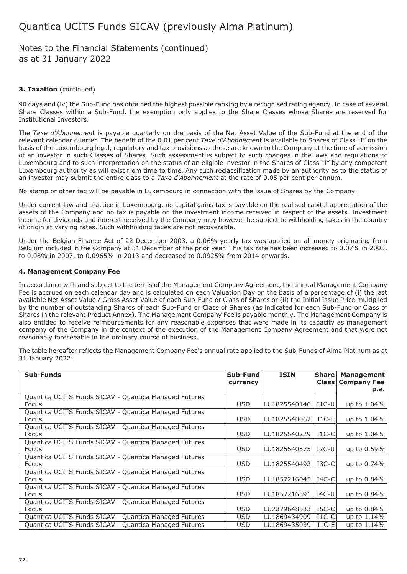## Notes to the Financial Statements (continued) as at 31 January 2022

### **3. Taxation** (continued)

90 days and (iv) the Sub-Fund has obtained the highest possible ranking by a recognised rating agency. In case of several Share Classes within a Sub-Fund, the exemption only applies to the Share Classes whose Shares are reserved for Institutional Investors.

The *Taxe d'Abonnemen*t is payable quarterly on the basis of the Net Asset Value of the Sub-Fund at the end of the relevant calendar quarter. The benefit of the 0.01 per cent *Taxe d'Abonnemen*t is available to Shares of Class "I" on the basis of the Luxembourg legal, regulatory and tax provisions as these are known to the Company at the time of admission of an investor in such Classes of Shares. Such assessment is subject to such changes in the laws and regulations of Luxembourg and to such interpretation on the status of an eligible investor in the Shares of Class "I" by any competent Luxembourg authority as will exist from time to time. Any such reclassification made by an authority as to the status of an investor may submit the entire class to a *Taxe d'Abonnement* at the rate of 0.05 per cent per annum.

No stamp or other tax will be payable in Luxembourg in connection with the issue of Shares by the Company.

Under current law and practice in Luxembourg, no capital gains tax is payable on the realised capital appreciation of the assets of the Company and no tax is payable on the investment income received in respect of the assets. Investment income for dividends and interest received by the Company may however be subject to withholding taxes in the country of origin at varying rates. Such withholding taxes are not recoverable.

Under the Belgian Finance Act of 22 December 2003, a 0.06% yearly tax was applied on all money originating from Belgium included in the Company at 31 December of the prior year. This tax rate has been increased to 0.07% in 2005, to 0.08% in 2007, to 0.0965% in 2013 and decreased to 0.0925% from 2014 onwards.

### **4. Management Company Fee**

In accordance with and subject to the terms of the Management Company Agreement, the annual Management Company Fee is accrued on each calendar day and is calculated on each Valuation Day on the basis of a percentage of (i) the last available Net Asset Value / Gross Asset Value of each Sub-Fund or Class of Shares or (ii) the Initial Issue Price multiplied by the number of outstanding Shares of each Sub-Fund or Class of Shares (as indicated for each Sub-Fund or Class of Shares in the relevant Product Annex). The Management Company Fee is payable monthly. The Management Company is also entitled to receive reimbursements for any reasonable expenses that were made in its capacity as management company of the Company in the context of the execution of the Management Company Agreement and that were not reasonably foreseeable in the ordinary course of business.

The table hereafter reflects the Management Company Fee's annual rate applied to the Sub-Funds of Alma Platinum as at 31 January 2022:

| <b>Sub-Funds</b>                                                      | Sub-Fund<br>currency | <b>ISIN</b>  | Share<br><b>Class</b> | <b>Management</b><br><b>Company Fee</b> |
|-----------------------------------------------------------------------|----------------------|--------------|-----------------------|-----------------------------------------|
|                                                                       |                      |              |                       | p.a.                                    |
| Quantica UCITS Funds SICAV - Quantica Managed Futures<br><b>Focus</b> | <b>USD</b>           | LU1825540146 | $I1C-U$               | up to 1.04%                             |
| Quantica UCITS Funds SICAV - Quantica Managed Futures<br><b>Focus</b> | USD                  | LU1825540062 | $I1C-E$               | up to 1.04%                             |
| Quantica UCITS Funds SICAV - Quantica Managed Futures<br>Focus        | <b>USD</b>           | LU1825540229 | $I1C-C$               | up to 1.04%                             |
| Quantica UCITS Funds SICAV - Quantica Managed Futures<br><b>Focus</b> | <b>USD</b>           | LU1825540575 | $I2C-U$               | up to 0.59%                             |
| Quantica UCITS Funds SICAV - Quantica Managed Futures<br><b>Focus</b> | <b>USD</b>           | LU1825540492 | $_{\rm I3C-C}$        | up to 0.74%                             |
| Quantica UCITS Funds SICAV - Quantica Managed Futures<br><b>Focus</b> | <b>USD</b>           | LU1857216045 | $IAC-C$               | up to 0.84%                             |
| Quantica UCITS Funds SICAV - Quantica Managed Futures<br><b>Focus</b> | <b>USD</b>           | LU1857216391 | $IAC-U$               | up to 0.84%                             |
| Quantica UCITS Funds SICAV - Quantica Managed Futures<br><b>Focus</b> | <b>USD</b>           | LU2379648533 | $IGC-C$               | up to 0.84%                             |
| Quantica UCITS Funds SICAV - Quantica Managed Futures                 | USD.                 | LU1869434909 | $I1C-C$               | up to 1.14%                             |
| Quantica UCITS Funds SICAV - Quantica Managed Futures                 | USD.                 | LU1869435039 | $I1C-E$               | up to 1.14%                             |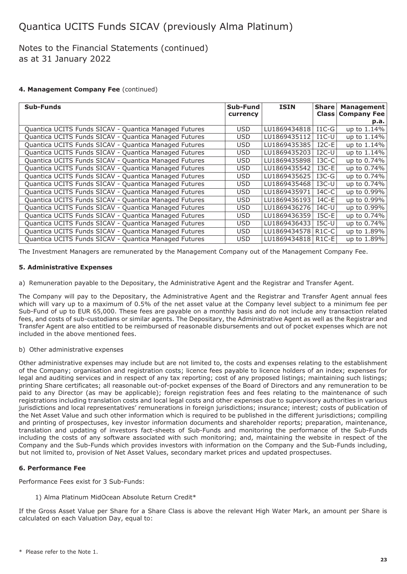## Notes to the Financial Statements (continued) as at 31 January 2022

### **4. Management Company Fee** (continued)

| <b>Sub-Funds</b>                                      | Sub-Fund   | <b>ISIN</b>  | <b>Share</b>       | <b>Management</b>  |
|-------------------------------------------------------|------------|--------------|--------------------|--------------------|
|                                                       | currency   |              | <b>Class</b>       | <b>Company Fee</b> |
|                                                       |            |              |                    | p.a.               |
| Quantica UCITS Funds SICAV - Quantica Managed Futures | <b>USD</b> | LU1869434818 | $I1C-G$            | up to 1.14%        |
| Quantica UCITS Funds SICAV - Quantica Managed Futures | <b>USD</b> | LU1869435112 | $I1C-U$            | up to 1.14%        |
| Quantica UCITS Funds SICAV - Quantica Managed Futures | <b>USD</b> | LU1869435385 | $I2C-E$            | up to 1.14%        |
| Quantica UCITS Funds SICAV - Quantica Managed Futures | <b>USD</b> | LU1869435203 | $I2C-U$            | up to 1.14%        |
| Quantica UCITS Funds SICAV - Quantica Managed Futures | <b>USD</b> | LU1869435898 | $I3C-C$            | up to 0.74%        |
| Quantica UCITS Funds SICAV - Quantica Managed Futures | <b>USD</b> | LU1869435542 | $I3C-E$            | up to 0.74%        |
| Quantica UCITS Funds SICAV - Quantica Managed Futures | USD.       | LU1869435625 | $I3C-G$            | up to 0.74%        |
| Quantica UCITS Funds SICAV - Quantica Managed Futures | USD.       | LU1869435468 | $_{\text{ISC-U}}$  | up to 0.74%        |
| Quantica UCITS Funds SICAV - Quantica Managed Futures | <b>USD</b> | LU1869435971 | $IAC-C$            | up to 0.99%        |
| Quantica UCITS Funds SICAV - Quantica Managed Futures | <b>USD</b> | LU1869436193 | $IAC-E$            | up to 0.99%        |
| Quantica UCITS Funds SICAV - Quantica Managed Futures | <b>USD</b> | LU1869436276 | $IAC-U$            | up to 0.99%        |
| Quantica UCITS Funds SICAV - Quantica Managed Futures | <b>USD</b> | LU1869436359 | $ISC-E$            | up to 0.74%        |
| Quantica UCITS Funds SICAV - Quantica Managed Futures | <b>USD</b> | LU1869436433 | $ISC-U$            | up to 0.74%        |
| Quantica UCITS Funds SICAV - Quantica Managed Futures | USD.       | LU1869434578 | R <sub>1</sub> C-C | up to 1.89%        |
| Quantica UCITS Funds SICAV - Quantica Managed Futures | <b>USD</b> | LU1869434818 | $R1C-E$            | up to 1.89%        |

The Investment Managers are remunerated by the Management Company out of the Management Company Fee.

### **5. Administrative Expenses**

a) Remuneration payable to the Depositary, the Administrative Agent and the Registrar and Transfer Agent.

The Company will pay to the Depositary, the Administrative Agent and the Registrar and Transfer Agent annual fees which will vary up to a maximum of 0.5% of the net asset value at the Company level subject to a minimum fee per Sub-Fund of up to EUR 65,000. These fees are payable on a monthly basis and do not include any transaction related fees, and costs of sub-custodians or similar agents. The Depositary, the Administrative Agent as well as the Registrar and Transfer Agent are also entitled to be reimbursed of reasonable disbursements and out of pocket expenses which are not included in the above mentioned fees.

### b) Other administrative expenses

Other administrative expenses may include but are not limited to, the costs and expenses relating to the establishment of the Company; organisation and registration costs; licence fees payable to licence holders of an index; expenses for legal and auditing services and in respect of any tax reporting; cost of any proposed listings; maintaining such listings; printing Share certificates; all reasonable out-of-pocket expenses of the Board of Directors and any remuneration to be paid to any Director (as may be applicable); foreign registration fees and fees relating to the maintenance of such registrations including translation costs and local legal costs and other expenses due to supervisory authorities in various jurisdictions and local representatives' remunerations in foreign jurisdictions; insurance; interest; costs of publication of the Net Asset Value and such other information which is required to be published in the different jurisdictions; compiling and printing of prospectuses, key investor information documents and shareholder reports; preparation, maintenance, translation and updating of investors fact-sheets of Sub-Funds and monitoring the performance of the Sub-Funds including the costs of any software associated with such monitoring; and, maintaining the website in respect of the Company and the Sub-Funds which provides investors with information on the Company and the Sub-Funds including, but not limited to, provision of Net Asset Values, secondary market prices and updated prospectuses.

### **6. Performance Fee**

Performance Fees exist for 3 Sub-Funds:

1) Alma Platinum MidOcean Absolute Return Credit\*

If the Gross Asset Value per Share for a Share Class is above the relevant High Water Mark, an amount per Share is calculated on each Valuation Day, equal to: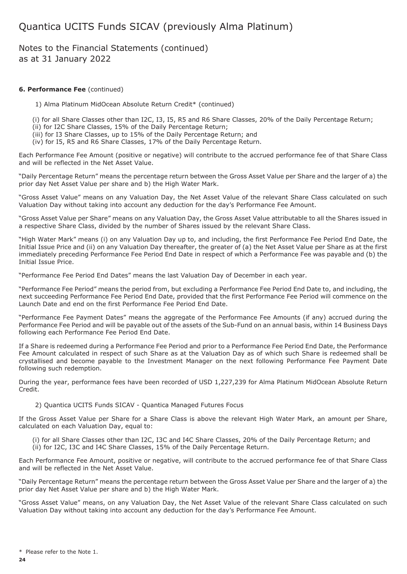Notes to the Financial Statements (continued) as at 31 January 2022

### **6. Performance Fee** (continued)

1) Alma Platinum MidOcean Absolute Return Credit\* (continued)

(i) for all Share Classes other than I2C, I3, I5, R5 and R6 Share Classes, 20% of the Daily Percentage Return;

- (ii) for I2C Share Classes, 15% of the Daily Percentage Return;
- (iii) for I3 Share Classes, up to 15% of the Daily Percentage Return; and
- (iv) for I5, R5 and R6 Share Classes, 17% of the Daily Percentage Return.

Each Performance Fee Amount (positive or negative) will contribute to the accrued performance fee of that Share Class and will be reflected in the Net Asset Value.

"Daily Percentage Return" means the percentage return between the Gross Asset Value per Share and the larger of a) the prior day Net Asset Value per share and b) the High Water Mark.

"Gross Asset Value" means on any Valuation Day, the Net Asset Value of the relevant Share Class calculated on such Valuation Day without taking into account any deduction for the day's Performance Fee Amount.

"Gross Asset Value per Share" means on any Valuation Day, the Gross Asset Value attributable to all the Shares issued in a respective Share Class, divided by the number of Shares issued by the relevant Share Class.

"High Water Mark" means (i) on any Valuation Day up to, and including, the first Performance Fee Period End Date, the Initial Issue Price and (ii) on any Valuation Day thereafter, the greater of (a) the Net Asset Value per Share as at the first immediately preceding Performance Fee Period End Date in respect of which a Performance Fee was payable and (b) the Initial Issue Price.

"Performance Fee Period End Dates" means the last Valuation Day of December in each year.

"Performance Fee Period" means the period from, but excluding a Performance Fee Period End Date to, and including, the next succeeding Performance Fee Period End Date, provided that the first Performance Fee Period will commence on the Launch Date and end on the first Performance Fee Period End Date.

"Performance Fee Payment Dates" means the aggregate of the Performance Fee Amounts (if any) accrued during the Performance Fee Period and will be payable out of the assets of the Sub-Fund on an annual basis, within 14 Business Days following each Performance Fee Period End Date.

If a Share is redeemed during a Performance Fee Period and prior to a Performance Fee Period End Date, the Performance Fee Amount calculated in respect of such Share as at the Valuation Day as of which such Share is redeemed shall be crystallised and become payable to the Investment Manager on the next following Performance Fee Payment Date following such redemption.

During the year, performance fees have been recorded of USD 1,227,239 for Alma Platinum MidOcean Absolute Return Credit.

#### 2) Quantica UCITS Funds SICAV - Quantica Managed Futures Focus

If the Gross Asset Value per Share for a Share Class is above the relevant High Water Mark, an amount per Share, calculated on each Valuation Day, equal to:

(i) for all Share Classes other than I2C, I3C and I4C Share Classes, 20% of the Daily Percentage Return; and (ii) for I2C, I3C and I4C Share Classes, 15% of the Daily Percentage Return.

Each Performance Fee Amount, positive or negative, will contribute to the accrued performance fee of that Share Class and will be reflected in the Net Asset Value.

"Daily Percentage Return" means the percentage return between the Gross Asset Value per Share and the larger of a) the prior day Net Asset Value per share and b) the High Water Mark.

"Gross Asset Value" means, on any Valuation Day, the Net Asset Value of the relevant Share Class calculated on such Valuation Day without taking into account any deduction for the day's Performance Fee Amount.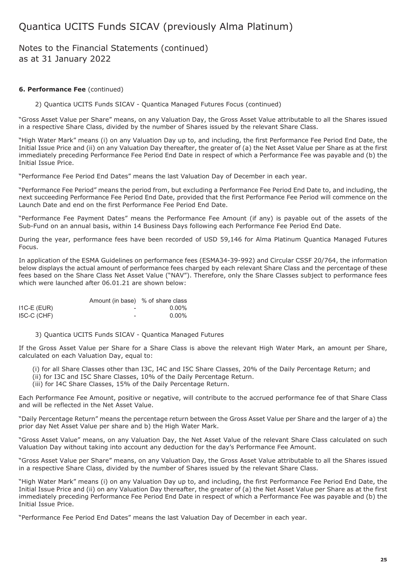## Notes to the Financial Statements (continued) as at 31 January 2022

### **6. Performance Fee** (continued)

2) Quantica UCITS Funds SICAV - Quantica Managed Futures Focus (continued)

"Gross Asset Value per Share" means, on any Valuation Day, the Gross Asset Value attributable to all the Shares issued in a respective Share Class, divided by the number of Shares issued by the relevant Share Class.

"High Water Mark" means (i) on any Valuation Day up to, and including, the first Performance Fee Period End Date, the Initial Issue Price and (ii) on any Valuation Day thereafter, the greater of (a) the Net Asset Value per Share as at the first immediately preceding Performance Fee Period End Date in respect of which a Performance Fee was payable and (b) the Initial Issue Price.

"Performance Fee Period End Dates" means the last Valuation Day of December in each year.

"Performance Fee Period" means the period from, but excluding a Performance Fee Period End Date to, and including, the next succeeding Performance Fee Period End Date, provided that the first Performance Fee Period will commence on the Launch Date and end on the first Performance Fee Period End Date.

"Performance Fee Payment Dates" means the Performance Fee Amount (if any) is payable out of the assets of the Sub-Fund on an annual basis, within 14 Business Days following each Performance Fee Period End Date.

During the year, performance fees have been recorded of USD 59,146 for Alma Platinum Quantica Managed Futures Focus.

In application of the ESMA Guidelines on performance fees (ESMA34-39-992) and Circular CSSF 20/764, the information below displays the actual amount of performance fees charged by each relevant Share Class and the percentage of these fees based on the Share Class Net Asset Value ("NAV"). Therefore, only the Share Classes subject to performance fees which were launched after 06.01.21 are shown below:

|               | Amount (in base) % of share class |          |
|---------------|-----------------------------------|----------|
| $IC-E$ (EUR)  | $\overline{\phantom{0}}$          | $0.00\%$ |
| $I5C-C$ (CHF) | -                                 | $0.00\%$ |

3) Quantica UCITS Funds SICAV - Quantica Managed Futures

If the Gross Asset Value per Share for a Share Class is above the relevant High Water Mark, an amount per Share, calculated on each Valuation Day, equal to:

(i) for all Share Classes other than I3C, I4C and I5C Share Classes, 20% of the Daily Percentage Return; and

(ii) for I3C and I5C Share Classes, 10% of the Daily Percentage Return.

(iii) for I4C Share Classes, 15% of the Daily Percentage Return.

Each Performance Fee Amount, positive or negative, will contribute to the accrued performance fee of that Share Class and will be reflected in the Net Asset Value.

"Daily Percentage Return" means the percentage return between the Gross Asset Value per Share and the larger of a) the prior day Net Asset Value per share and b) the High Water Mark.

"Gross Asset Value" means, on any Valuation Day, the Net Asset Value of the relevant Share Class calculated on such Valuation Day without taking into account any deduction for the day's Performance Fee Amount.

"Gross Asset Value per Share" means, on any Valuation Day, the Gross Asset Value attributable to all the Shares issued in a respective Share Class, divided by the number of Shares issued by the relevant Share Class.

"High Water Mark" means (i) on any Valuation Day up to, and including, the first Performance Fee Period End Date, the Initial Issue Price and (ii) on any Valuation Day thereafter, the greater of (a) the Net Asset Value per Share as at the first immediately preceding Performance Fee Period End Date in respect of which a Performance Fee was payable and (b) the Initial Issue Price.

"Performance Fee Period End Dates" means the last Valuation Day of December in each year.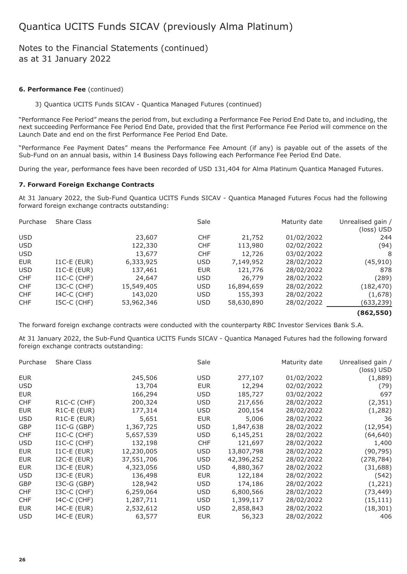## Notes to the Financial Statements (continued) as at 31 January 2022

#### **6. Performance Fee** (continued)

3) Quantica UCITS Funds SICAV - Quantica Managed Futures (continued)

"Performance Fee Period" means the period from, but excluding a Performance Fee Period End Date to, and including, the next succeeding Performance Fee Period End Date, provided that the first Performance Fee Period will commence on the Launch Date and end on the first Performance Fee Period End Date.

"Performance Fee Payment Dates" means the Performance Fee Amount (if any) is payable out of the assets of the Sub-Fund on an annual basis, within 14 Business Days following each Performance Fee Period End Date.

During the year, performance fees have been recorded of USD 131,404 for Alma Platinum Quantica Managed Futures.

### **7. Forward Foreign Exchange Contracts**

At 31 January 2022, the Sub-Fund Quantica UCITS Funds SICAV - Quantica Managed Futures Focus had the following forward foreign exchange contracts outstanding:

| Purchase   | <b>Share Class</b> |            | Sale       |            | Maturity date | Unrealised gain /<br>(loss) USD |
|------------|--------------------|------------|------------|------------|---------------|---------------------------------|
| <b>USD</b> |                    | 23,607     | <b>CHF</b> | 21,752     | 01/02/2022    | 244                             |
| <b>USD</b> |                    | 122,330    | <b>CHF</b> | 113,980    | 02/02/2022    | (94)                            |
| <b>USD</b> |                    | 13,677     | <b>CHF</b> | 12,726     | 03/02/2022    | 8                               |
| <b>EUR</b> | $I1C-E$ (EUR)      | 6,333,925  | <b>USD</b> | 7,149,952  | 28/02/2022    | (45, 910)                       |
| <b>USD</b> | $I1C-E$ (EUR)      | 137,461    | <b>EUR</b> | 121,776    | 28/02/2022    | 878                             |
| <b>CHF</b> | $I1C-C$ (CHF)      | 24,647     | <b>USD</b> | 26,779     | 28/02/2022    | (289)                           |
| <b>CHF</b> | I3C-C (CHF)        | 15,549,405 | <b>USD</b> | 16,894,659 | 28/02/2022    | (182,470)                       |
| <b>CHF</b> | $I4C-C$ (CHF)      | 143,020    | <b>USD</b> | 155,393    | 28/02/2022    | (1,678)                         |
| <b>CHF</b> | I5C-C (CHF)        | 53,962,346 | <b>USD</b> | 58,630,890 | 28/02/2022    | (633,239)                       |
|            |                    |            |            |            |               | (862,550)                       |

The forward foreign exchange contracts were conducted with the counterparty RBC Investor Services Bank S.A.

At 31 January 2022, the Sub-Fund Quantica UCITS Funds SICAV - Quantica Managed Futures had the following forward foreign exchange contracts outstanding:

| Purchase   | <b>Share Class</b>       |            | Sale       |            | Maturity date | Unrealised gain /<br>(loss) USD |
|------------|--------------------------|------------|------------|------------|---------------|---------------------------------|
| <b>EUR</b> |                          | 245,506    | <b>USD</b> | 277,107    | 01/02/2022    | (1,889)                         |
| <b>USD</b> |                          | 13,704     | <b>EUR</b> | 12,294     | 02/02/2022    | (79)                            |
| <b>EUR</b> |                          | 166,294    | <b>USD</b> | 185,727    | 03/02/2022    | 697                             |
| <b>CHF</b> | R <sub>1</sub> C-C (CHF) | 200,324    | <b>USD</b> | 217,656    | 28/02/2022    | (2, 351)                        |
| <b>EUR</b> | R1C-E (EUR)              | 177,314    | <b>USD</b> | 200,154    | 28/02/2022    | (1,282)                         |
| <b>USD</b> | R1C-E (EUR)              | 5,651      | <b>EUR</b> | 5,006      | 28/02/2022    | 36                              |
| GBP        | $I1C-G(GBP)$             | 1,367,725  | <b>USD</b> | 1,847,638  | 28/02/2022    | (12, 954)                       |
| <b>CHF</b> | $I1C-C$ (CHF)            | 5,657,539  | <b>USD</b> | 6,145,251  | 28/02/2022    | (64, 640)                       |
| <b>USD</b> | $I1C-C$ (CHF)            | 132,198    | <b>CHF</b> | 121,697    | 28/02/2022    | 1,400                           |
| <b>EUR</b> | $I1C-E$ (EUR)            | 12,230,005 | <b>USD</b> | 13,807,798 | 28/02/2022    | (90, 795)                       |
| <b>EUR</b> | $I2C-E$ (EUR)            | 37,551,706 | <b>USD</b> | 42,396,252 | 28/02/2022    | (278, 784)                      |
| <b>EUR</b> | $ISC-E$ (EUR)            | 4,323,056  | <b>USD</b> | 4,880,367  | 28/02/2022    | (31, 688)                       |
| <b>USD</b> | $ISC-E$ ( $EUR$ )        | 136,498    | <b>EUR</b> | 122,184    | 28/02/2022    | (542)                           |
| GBP        | I3C-G (GBP)              | 128,942    | <b>USD</b> | 174,186    | 28/02/2022    | (1,221)                         |
| <b>CHF</b> | I3C-C (CHF)              | 6,259,064  | <b>USD</b> | 6,800,566  | 28/02/2022    | (73, 449)                       |
| <b>CHF</b> | $I4C-C$ (CHF)            | 1,287,711  | <b>USD</b> | 1,399,117  | 28/02/2022    | (15, 111)                       |
| <b>EUR</b> | $I4C-E$ (EUR)            | 2,532,612  | <b>USD</b> | 2,858,843  | 28/02/2022    | (18, 301)                       |
| <b>USD</b> | $I4C-E$ (EUR)            | 63,577     | <b>EUR</b> | 56,323     | 28/02/2022    | 406                             |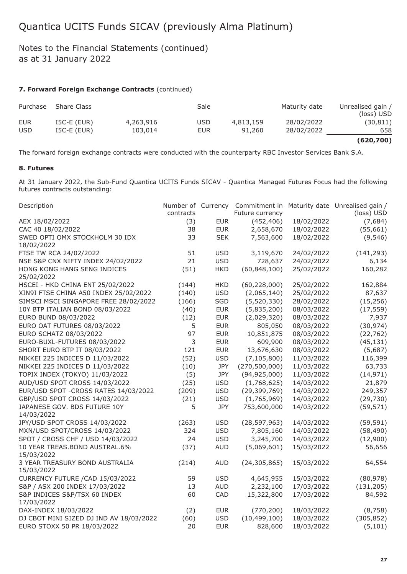## Notes to the Financial Statements (continued) as at 31 January 2022

## **7. Forward Foreign Exchange Contracts** (continued)

| Purchase   | <b>Share Class</b> |           | Sale       |           | Maturity date | Unrealised gain /<br>(loss) USD |
|------------|--------------------|-----------|------------|-----------|---------------|---------------------------------|
| EUR        | $ISC-E$ (EUR)      | 4,263,916 | <b>USD</b> | 4,813,159 | 28/02/2022    | (30,811)                        |
| <b>USD</b> | $ISC-E$ (EUR)      | 103,014   | <b>EUR</b> | 91,260    | 28/02/2022    | 658                             |
|            |                    |           |            |           |               | (620, 700)                      |

The forward foreign exchange contracts were conducted with the counterparty RBC Investor Services Bank S.A.

### **8. Futures**

At 31 January 2022, the Sub-Fund Quantica UCITS Funds SICAV - Quantica Managed Futures Focus had the following futures contracts outstanding:

| Description                                  | contracts |            | Number of Currency Commitment in<br>Future currency |            | Maturity date Unrealised gain /<br>(loss) USD |
|----------------------------------------------|-----------|------------|-----------------------------------------------------|------------|-----------------------------------------------|
| AEX 18/02/2022                               | (3)       | <b>EUR</b> | (452, 406)                                          | 18/02/2022 | (7,684)                                       |
| CAC 40 18/02/2022                            | 38        | <b>EUR</b> | 2,658,670                                           | 18/02/2022 | (55, 661)                                     |
| SWED OPTI OMX STOCKHOLM 30 IDX<br>18/02/2022 | 33        | <b>SEK</b> | 7,563,600                                           | 18/02/2022 | (9, 546)                                      |
| FTSE TW RCA 24/02/2022                       | 51        | <b>USD</b> | 3,119,670                                           | 24/02/2022 | (141, 293)                                    |
| NSE S&P CNX NIFTY INDEX 24/02/2022           | 21        | <b>USD</b> | 728,637                                             | 24/02/2022 | 6,134                                         |
| HONG KONG HANG SENG INDICES<br>25/02/2022    | (51)      | <b>HKD</b> | (60, 848, 100)                                      | 25/02/2022 | 160,282                                       |
| HSCEI - HKD CHINA ENT 25/02/2022             | (144)     | <b>HKD</b> | (60, 228, 000)                                      | 25/02/2022 | 162,884                                       |
| XIN9I FTSE CHINA A50 INDEX 25/02/2022        | (140)     | <b>USD</b> | (2,065,140)                                         | 25/02/2022 | 87,637                                        |
| SIMSCI MSCI SINGAPORE FREE 28/02/2022        | (166)     | SGD        | (5,520,330)                                         | 28/02/2022 | (15, 256)                                     |
| 10Y BTP ITALIAN BOND 08/03/2022              | (40)      | <b>EUR</b> | (5,835,200)                                         | 08/03/2022 | (17, 559)                                     |
| EURO BUND 08/03/2022                         | (12)      | <b>EUR</b> | (2,029,320)                                         | 08/03/2022 | 7,937                                         |
| EURO OAT FUTURES 08/03/2022                  | 5         | <b>EUR</b> | 805,050                                             | 08/03/2022 | (30, 974)                                     |
| EURO SCHATZ 08/03/2022                       | 97        | <b>EUR</b> | 10,851,875                                          | 08/03/2022 | (22, 762)                                     |
| EURO-BUXL-FUTURES 08/03/2022                 | 3         | <b>EUR</b> | 609,900                                             | 08/03/2022 | (45, 131)                                     |
| SHORT EURO BTP IT 08/03/2022                 | 121       | <b>EUR</b> | 13,676,630                                          | 08/03/2022 | (5,687)                                       |
| NIKKEI 225 INDICES D 11/03/2022              | (52)      | <b>USD</b> | (7, 105, 800)                                       | 11/03/2022 | 116,399                                       |
| NIKKEI 225 INDICES D 11/03/2022              | (10)      | JPY        | (270, 500, 000)                                     | 11/03/2022 | 63,733                                        |
| TOPIX INDEX (TOKYO) 11/03/2022               | (5)       | JPY        | (94, 925, 000)                                      | 11/03/2022 | (14, 971)                                     |
| AUD/USD SPOT CROSS 14/03/2022                | (25)      | <b>USD</b> | (1,768,625)                                         | 14/03/2022 | 21,879                                        |
| EUR/USD SPOT - CROSS RATES 14/03/2022        | (209)     | <b>USD</b> | (29, 399, 769)                                      | 14/03/2022 | 249,357                                       |
| GBP/USD SPOT CROSS 14/03/2022                | (21)      | <b>USD</b> | (1,765,969)                                         | 14/03/2022 | (29, 730)                                     |
| JAPANESE GOV. BDS FUTURE 10Y<br>14/03/2022   | 5         | JPY        | 753,600,000                                         | 14/03/2022 | (59, 571)                                     |
| JPY/USD SPOT CROSS 14/03/2022                | (263)     | <b>USD</b> | (28, 597, 963)                                      | 14/03/2022 | (59, 591)                                     |
| MXN/USD SPOT/CROSS 14/03/2022                | 324       | <b>USD</b> | 7,805,160                                           | 14/03/2022 | (58, 490)                                     |
| SPOT / CROSS CHF / USD 14/03/2022            | 24        | <b>USD</b> | 3,245,700                                           | 14/03/2022 | (12,900)                                      |
| 10 YEAR TREAS.BOND AUSTRAL.6%<br>15/03/2022  | (37)      | <b>AUD</b> | (5,069,601)                                         | 15/03/2022 | 56,656                                        |
| 3 YEAR TREASURY BOND AUSTRALIA<br>15/03/2022 | (214)     | <b>AUD</b> | (24, 305, 865)                                      | 15/03/2022 | 64,554                                        |
| CURRENCY FUTURE / CAD 15/03/2022             | 59        | <b>USD</b> | 4,645,955                                           | 15/03/2022 | (80, 978)                                     |
| S&P / ASX 200 INDEX 17/03/2022               | 13        | <b>AUD</b> | 2,232,100                                           | 17/03/2022 | (131, 205)                                    |
| S&P INDICES S&P/TSX 60 INDEX<br>17/03/2022   | 60        | CAD        | 15,322,800                                          | 17/03/2022 | 84,592                                        |
| DAX-INDEX 18/03/2022                         | (2)       | <b>EUR</b> | (770, 200)                                          | 18/03/2022 | (8, 758)                                      |
| DJ CBOT MINI SIZED DJ IND AV 18/03/2022      | (60)      | <b>USD</b> | (10, 499, 100)                                      | 18/03/2022 | (305, 852)                                    |
| EURO STOXX 50 PR 18/03/2022                  | 20        | <b>EUR</b> | 828,600                                             | 18/03/2022 | (5, 101)                                      |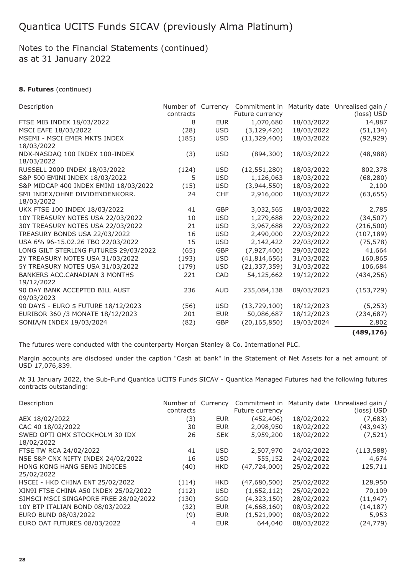## Notes to the Financial Statements (continued) as at 31 January 2022

## **8. Futures** (continued)

| Description                                  | Number of Currency<br>contracts |            | Commitment in<br>Future currency |            | Maturity date Unrealised gain /<br>(loss) USD |
|----------------------------------------------|---------------------------------|------------|----------------------------------|------------|-----------------------------------------------|
| FTSE MIB INDEX 18/03/2022                    | 8                               | <b>EUR</b> | 1,070,680                        | 18/03/2022 | 14,887                                        |
| MSCI EAFE 18/03/2022                         | (28)                            | <b>USD</b> | (3, 129, 420)                    | 18/03/2022 | (51, 134)                                     |
| MSEMI - MSCI EMER MKTS INDEX                 | (185)                           | <b>USD</b> | (11, 329, 400)                   | 18/03/2022 | (92, 929)                                     |
| 18/03/2022                                   |                                 |            |                                  |            |                                               |
| NDX-NASDAQ 100 INDEX 100-INDEX<br>18/03/2022 | (3)                             | <b>USD</b> | (894, 300)                       | 18/03/2022 | (48, 988)                                     |
| RUSSELL 2000 INDEX 18/03/2022                | (124)                           | <b>USD</b> | (12, 551, 280)                   | 18/03/2022 | 802,378                                       |
| S&P 500 EMINI INDEX 18/03/2022               | 5                               | <b>USD</b> | 1,126,063                        | 18/03/2022 | (68, 280)                                     |
| S&P MIDCAP 400 INDEX EMINI 18/03/2022        | (15)                            | <b>USD</b> | (3,944,550)                      | 18/03/2022 | 2,100                                         |
| SMI INDEX/OHNE DIVIDENDENKORR.               | 24                              | <b>CHF</b> | 2,916,000                        | 18/03/2022 | (63, 655)                                     |
| 18/03/2022                                   |                                 |            |                                  |            |                                               |
| UKX FTSE 100 INDEX 18/03/2022                | 41                              | <b>GBP</b> | 3,032,565                        | 18/03/2022 | 2,785                                         |
| 10Y TREASURY NOTES USA 22/03/2022            | 10                              | <b>USD</b> | 1,279,688                        | 22/03/2022 | (34, 507)                                     |
| 30Y TREASURY NOTES USA 22/03/2022            | 21                              | <b>USD</b> | 3,967,688                        | 22/03/2022 | (216, 500)                                    |
| TREASURY BONDS USA 22/03/2022                | 16                              | <b>USD</b> | 2,490,000                        | 22/03/2022 | (107, 189)                                    |
| USA 6% 96-15.02.26 TBO 22/03/2022            | 15                              | <b>USD</b> | 2,142,422                        | 22/03/2022 | (75, 578)                                     |
| LONG GILT STERLING FUTURES 29/03/2022        | (65)                            | GBP        | (7,927,400)                      | 29/03/2022 | 41,664                                        |
| 2Y TREASURY NOTES USA 31/03/2022             | (193)                           | <b>USD</b> | (41, 814, 656)                   | 31/03/2022 | 160,865                                       |
| 5Y TREASURY NOTES USA 31/03/2022             | (179)                           | <b>USD</b> | (21, 337, 359)                   | 31/03/2022 | 106,684                                       |
| BANKERS ACC.CANADIAN 3 MONTHS<br>19/12/2022  | 221                             | <b>CAD</b> | 54,125,662                       | 19/12/2022 | (434, 256)                                    |
| 90 DAY BANK ACCEPTED BILL AUST               | 236                             | <b>AUD</b> | 235,084,138                      | 09/03/2023 | (153, 729)                                    |
| 09/03/2023                                   |                                 |            |                                  |            |                                               |
| 90 DAYS - EURO \$ FUTURE 18/12/2023          | (56)                            | <b>USD</b> | (13,729,100)                     | 18/12/2023 | (5,253)                                       |
| EURIBOR 360 /3 MONATE 18/12/2023             | 201                             | <b>EUR</b> | 50,086,687                       | 18/12/2023 | (234, 687)                                    |
| SONIA/N INDEX 19/03/2024                     | (82)                            | GBP        | (20, 165, 850)                   | 19/03/2024 | 2,802                                         |
|                                              |                                 |            |                                  |            |                                               |

**(489,176)**

The futures were conducted with the counterparty Morgan Stanley & Co. International PLC.

Margin accounts are disclosed under the caption "Cash at bank" in the Statement of Net Assets for a net amount of USD 17,076,839.

At 31 January 2022, the Sub-Fund Quantica UCITS Funds SICAV - Quantica Managed Futures had the following futures contracts outstanding:

| Description                                  | Number of Currency |            | Commitment in   |            | Maturity date Unrealised gain / |
|----------------------------------------------|--------------------|------------|-----------------|------------|---------------------------------|
|                                              | contracts          |            | Future currency |            | (loss) USD                      |
| AEX 18/02/2022                               | (3)                | <b>EUR</b> | (452,406)       | 18/02/2022 | (7,683)                         |
| CAC 40 18/02/2022                            | 30                 | <b>EUR</b> | 2,098,950       | 18/02/2022 | (43, 943)                       |
| SWED OPTI OMX STOCKHOLM 30 IDX<br>18/02/2022 | 26                 | <b>SEK</b> | 5,959,200       | 18/02/2022 | (7, 521)                        |
| FTSE TW RCA 24/02/2022                       | 41                 | <b>USD</b> | 2,507,970       | 24/02/2022 | (113, 588)                      |
| NSE S&P CNX NIFTY INDEX 24/02/2022           | 16                 | <b>USD</b> | 555,152         | 24/02/2022 | 4,674                           |
| HONG KONG HANG SENG INDICES<br>25/02/2022    | (40)               | <b>HKD</b> | (47,724,000)    | 25/02/2022 | 125,711                         |
| HSCEI - HKD CHINA ENT 25/02/2022             | (114)              | <b>HKD</b> | (47,680,500)    | 25/02/2022 | 128,950                         |
| XIN9I FTSE CHINA A50 INDEX 25/02/2022        | (112)              | <b>USD</b> | (1,652,112)     | 25/02/2022 | 70,109                          |
| SIMSCI MSCI SINGAPORE FREE 28/02/2022        | (130)              | SGD        | (4,323,150)     | 28/02/2022 | (11, 947)                       |
| 10Y BTP ITALIAN BOND 08/03/2022              | (32)               | <b>EUR</b> | (4,668,160)     | 08/03/2022 | (14, 187)                       |
| EURO BUND 08/03/2022                         | (9)                | <b>EUR</b> | (1,521,990)     | 08/03/2022 | 5,953                           |
| EURO OAT FUTURES 08/03/2022                  | 4                  | <b>EUR</b> | 644,040         | 08/03/2022 | (24, 779)                       |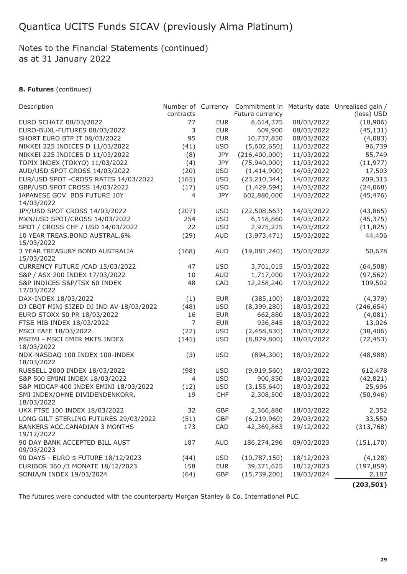## Notes to the Financial Statements (continued) as at 31 January 2022

## **8. Futures** (continued)

| Description                             | Number of Currency |            | Commitment in   |            | Maturity date Unrealised gain / |
|-----------------------------------------|--------------------|------------|-----------------|------------|---------------------------------|
|                                         | contracts          |            | Future currency |            | (loss) USD                      |
| EURO SCHATZ 08/03/2022                  | 77                 | <b>EUR</b> | 8,614,375       | 08/03/2022 | (18,906)                        |
| EURO-BUXL-FUTURES 08/03/2022            | 3                  | <b>EUR</b> | 609,900         | 08/03/2022 | (45, 131)                       |
| SHORT EURO BTP IT 08/03/2022            | 95                 | <b>EUR</b> | 10,737,850      | 08/03/2022 | (4,083)                         |
| NIKKEI 225 INDICES D 11/03/2022         | (41)               | <b>USD</b> | (5,602,650)     | 11/03/2022 | 96,739                          |
| NIKKEI 225 INDICES D 11/03/2022         | (8)                | JPY        | (216, 400, 000) | 11/03/2022 | 55,749                          |
| TOPIX INDEX (TOKYO) 11/03/2022          | (4)                | JPY        | (75, 940, 000)  | 11/03/2022 | (11, 977)                       |
| AUD/USD SPOT CROSS 14/03/2022           | (20)               | <b>USD</b> | (1,414,900)     | 14/03/2022 | 17,503                          |
| EUR/USD SPOT - CROSS RATES 14/03/2022   | (165)              | <b>USD</b> | (23, 210, 344)  | 14/03/2022 | 209,313                         |
| GBP/USD SPOT CROSS 14/03/2022           | (17)               | <b>USD</b> | (1,429,594)     | 14/03/2022 | (24,068)                        |
| JAPANESE GOV. BDS FUTURE 10Y            | $\overline{4}$     | JPY        | 602,880,000     | 14/03/2022 | (45, 476)                       |
| 14/03/2022                              |                    |            |                 |            |                                 |
| JPY/USD SPOT CROSS 14/03/2022           | (207)              | <b>USD</b> | (22, 508, 663)  | 14/03/2022 | (43, 865)                       |
| MXN/USD SPOT/CROSS 14/03/2022           | 254                | <b>USD</b> | 6,118,860       | 14/03/2022 | (45, 375)                       |
| SPOT / CROSS CHF / USD 14/03/2022       | 22                 | <b>USD</b> | 2,975,225       | 14/03/2022 | (11, 825)                       |
| 10 YEAR TREAS.BOND AUSTRAL.6%           | (29)               | <b>AUD</b> | (3,973,471)     | 15/03/2022 | 44,406                          |
| 15/03/2022                              |                    |            |                 |            |                                 |
| 3 YEAR TREASURY BOND AUSTRALIA          | (168)              | <b>AUD</b> | (19,081,240)    | 15/03/2022 | 50,678                          |
| 15/03/2022                              |                    |            |                 |            |                                 |
| CURRENCY FUTURE / CAD 15/03/2022        | 47                 | <b>USD</b> | 3,701,015       | 15/03/2022 | (64, 508)                       |
| S&P / ASX 200 INDEX 17/03/2022          | 10                 | <b>AUD</b> | 1,717,000       | 17/03/2022 | (97, 562)                       |
| S&P INDICES S&P/TSX 60 INDEX            | 48                 | CAD        | 12,258,240      | 17/03/2022 | 109,502                         |
| 17/03/2022                              |                    |            |                 |            |                                 |
| DAX-INDEX 18/03/2022                    | (1)                | <b>EUR</b> | (385, 100)      | 18/03/2022 | (4, 379)                        |
| DJ CBOT MINI SIZED DJ IND AV 18/03/2022 | (48)               | <b>USD</b> | (8,399,280)     | 18/03/2022 | (246, 654)                      |
| EURO STOXX 50 PR 18/03/2022             | 16                 | <b>EUR</b> | 662,880         | 18/03/2022 | (4,081)                         |
| FTSE MIB INDEX 18/03/2022               | 7                  | <b>EUR</b> | 936,845         | 18/03/2022 | 13,026                          |
| MSCI EAFE 18/03/2022                    | (22)               | <b>USD</b> | (2,458,830)     | 18/03/2022 | (38, 406)                       |
| MSEMI - MSCI EMER MKTS INDEX            | (145)              | <b>USD</b> | (8,879,800)     | 18/03/2022 | (72, 453)                       |
| 18/03/2022                              |                    |            |                 |            |                                 |
| NDX-NASDAQ 100 INDEX 100-INDEX          | (3)                | <b>USD</b> | (894, 300)      | 18/03/2022 | (48, 988)                       |
| 18/03/2022                              |                    |            |                 |            |                                 |
| RUSSELL 2000 INDEX 18/03/2022           | (98)               | <b>USD</b> | (9,919,560)     | 18/03/2022 | 612,478                         |
| S&P 500 EMINI INDEX 18/03/2022          | 4                  | <b>USD</b> | 900,850         | 18/03/2022 | (42, 821)                       |
| S&P MIDCAP 400 INDEX EMINI 18/03/2022   | (12)               | <b>USD</b> | (3, 155, 640)   | 18/03/2022 | 25,696                          |
| SMI INDEX/OHNE DIVIDENDENKORR.          | 19                 | <b>CHF</b> | 2,308,500       | 18/03/2022 | (50, 946)                       |
| 18/03/2022                              |                    |            |                 |            |                                 |
| UKX FTSE 100 INDEX 18/03/2022           | 32                 | GBP        | 2,366,880       | 18/03/2022 | 2,352                           |
| LONG GILT STERLING FUTURES 29/03/2022   | (51)               | GBP        | (6, 219, 960)   | 29/03/2022 | 33,550                          |
| BANKERS ACC.CANADIAN 3 MONTHS           | 173                | CAD        | 42,369,863      | 19/12/2022 | (313, 768)                      |
| 19/12/2022                              |                    |            |                 |            |                                 |
| 90 DAY BANK ACCEPTED BILL AUST          | 187                | <b>AUD</b> | 186,274,296     | 09/03/2023 | (151, 170)                      |
| 09/03/2023                              |                    |            |                 |            |                                 |
| 90 DAYS - EURO \$ FUTURE 18/12/2023     | (44)               | <b>USD</b> | (10, 787, 150)  | 18/12/2023 | (4, 128)                        |
| EURIBOR 360 /3 MONATE 18/12/2023        | 158                | <b>EUR</b> | 39,371,625      | 18/12/2023 | (197, 859)                      |
| SONIA/N INDEX 19/03/2024                | (64)               | GBP        | (15,739,200)    | 19/03/2024 | 2,187                           |
|                                         |                    |            |                 |            |                                 |
|                                         |                    |            |                 |            | (203, 501)                      |

The futures were conducted with the counterparty Morgan Stanley & Co. International PLC.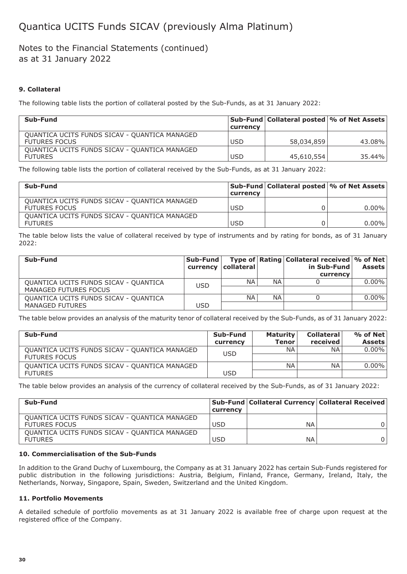## Notes to the Financial Statements (continued) as at 31 January 2022

## **9. Collateral**

The following table lists the portion of collateral posted by the Sub-Funds, as at 31 January 2022:

| Sub-Fund                                      |            | Sub-Fund   Collateral posted   % of Net Assets |        |
|-----------------------------------------------|------------|------------------------------------------------|--------|
|                                               | currency   |                                                |        |
| QUANTICA UCITS FUNDS SICAV - QUANTICA MANAGED |            |                                                |        |
| <b>FUTURES FOCUS</b>                          | <b>USD</b> | 58,034,859                                     | 43.08% |
| QUANTICA UCITS FUNDS SICAV - QUANTICA MANAGED |            |                                                |        |
| <b>FUTURES</b>                                | <b>USD</b> | 45,610,554                                     | 35.44% |

The following table lists the portion of collateral received by the Sub-Funds, as at 31 January 2022:

| Sub-Fund                                      |            | Sub-Fund   Collateral posted   % of Net Assets |          |
|-----------------------------------------------|------------|------------------------------------------------|----------|
|                                               | currency   |                                                |          |
| QUANTICA UCITS FUNDS SICAV - QUANTICA MANAGED |            |                                                |          |
| <b>FUTURES FOCUS</b>                          | <b>USD</b> |                                                | $0.00\%$ |
| QUANTICA UCITS FUNDS SICAV - QUANTICA MANAGED |            |                                                |          |
| <b>FUTURES</b>                                | <b>USD</b> |                                                | $0.00\%$ |

The table below lists the value of collateral received by type of instruments and by rating for bonds, as of 31 January 2022:

| Sub-Fund                              | Sub-Fund   | currency   collateral |           | Type of   Rating   Collateral received   % of Net  <br>in Sub-Fund | <b>Assets</b> |
|---------------------------------------|------------|-----------------------|-----------|--------------------------------------------------------------------|---------------|
|                                       |            |                       |           | currency                                                           |               |
| QUANTICA UCITS FUNDS SICAV - QUANTICA | <b>USD</b> | <b>NA</b>             | <b>NA</b> |                                                                    | $0.00\%$      |
| MANAGED FUTURES FOCUS                 |            |                       |           |                                                                    |               |
| QUANTICA UCITS FUNDS SICAV - QUANTICA |            | <b>NA</b>             | <b>NA</b> |                                                                    | $0.00\%$      |
| MANAGED FUTURES                       | <b>USD</b> |                       |           |                                                                    |               |

The table below provides an analysis of the maturity tenor of collateral received by the Sub-Funds, as of 31 January 2022:

| Sub-Fund                                                              | Sub-Fund<br>currency | <b>Maturity</b><br><b>Tenor</b> | <b>Collateral</b><br>received | $%$ of Net<br><b>Assets</b> |
|-----------------------------------------------------------------------|----------------------|---------------------------------|-------------------------------|-----------------------------|
| QUANTICA UCITS FUNDS SICAV - QUANTICA MANAGED<br><b>FUTURES FOCUS</b> | <b>USD</b>           | <b>NA</b>                       | NA.                           | $0.00\%$                    |
| QUANTICA UCITS FUNDS SICAV - QUANTICA MANAGED                         |                      | <b>NA</b>                       | NA.                           | $0.00\%$                    |
| <b>FUTURES</b>                                                        | USD                  |                                 |                               |                             |

The table below provides an analysis of the currency of collateral received by the Sub-Funds, as of 31 January 2022:

| Sub-Fund                                      | currency   | Sub-Fund   Collateral Currency   Collateral Received |  |
|-----------------------------------------------|------------|------------------------------------------------------|--|
| QUANTICA UCITS FUNDS SICAV - QUANTICA MANAGED |            |                                                      |  |
| <b>FUTURES FOCUS</b>                          | <b>USD</b> | ΝA                                                   |  |
| QUANTICA UCITS FUNDS SICAV - QUANTICA MANAGED |            |                                                      |  |
| <b>FUTURES</b>                                | <b>USD</b> | ΝA                                                   |  |

### **10. Commercialisation of the Sub-Funds**

In addition to the Grand Duchy of Luxembourg, the Company as at 31 January 2022 has certain Sub-Funds registered for public distribution in the following jurisdictions: Austria, Belgium, Finland, France, Germany, Ireland, Italy, the Netherlands, Norway, Singapore, Spain, Sweden, Switzerland and the United Kingdom.

### **11. Portfolio Movements**

A detailed schedule of portfolio movements as at 31 January 2022 is available free of charge upon request at the registered office of the Company.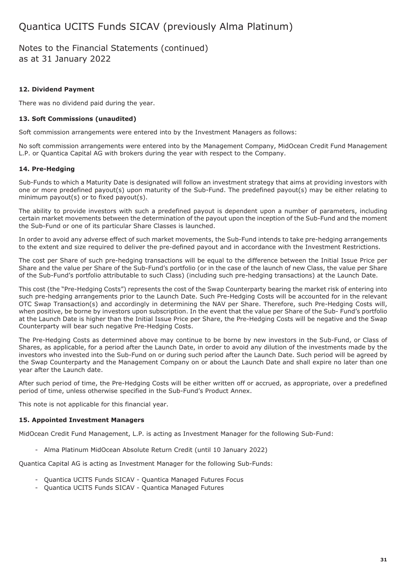Notes to the Financial Statements (continued) as at 31 January 2022

### **12. Dividend Payment**

There was no dividend paid during the year.

### **13. Soft Commissions (unaudited)**

Soft commission arrangements were entered into by the Investment Managers as follows:

No soft commission arrangements were entered into by the Management Company, MidOcean Credit Fund Management L.P. or Quantica Capital AG with brokers during the year with respect to the Company.

### **14. Pre-Hedging**

Sub-Funds to which a Maturity Date is designated will follow an investment strategy that aims at providing investors with one or more predefined payout(s) upon maturity of the Sub-Fund. The predefined payout(s) may be either relating to minimum payout(s) or to fixed payout(s).

The ability to provide investors with such a predefined payout is dependent upon a number of parameters, including certain market movements between the determination of the payout upon the inception of the Sub-Fund and the moment the Sub-Fund or one of its particular Share Classes is launched.

In order to avoid any adverse effect of such market movements, the Sub-Fund intends to take pre-hedging arrangements to the extent and size required to deliver the pre-defined payout and in accordance with the Investment Restrictions.

The cost per Share of such pre-hedging transactions will be equal to the difference between the Initial Issue Price per Share and the value per Share of the Sub-Fund's portfolio (or in the case of the launch of new Class, the value per Share of the Sub-Fund's portfolio attributable to such Class) (including such pre-hedging transactions) at the Launch Date.

This cost (the "Pre-Hedging Costs") represents the cost of the Swap Counterparty bearing the market risk of entering into such pre-hedging arrangements prior to the Launch Date. Such Pre-Hedging Costs will be accounted for in the relevant OTC Swap Transaction(s) and accordingly in determining the NAV per Share. Therefore, such Pre-Hedging Costs will, when positive, be borne by investors upon subscription. In the event that the value per Share of the Sub- Fund's portfolio at the Launch Date is higher than the Initial Issue Price per Share, the Pre-Hedging Costs will be negative and the Swap Counterparty will bear such negative Pre-Hedging Costs.

The Pre-Hedging Costs as determined above may continue to be borne by new investors in the Sub-Fund, or Class of Shares, as applicable, for a period after the Launch Date, in order to avoid any dilution of the investments made by the investors who invested into the Sub-Fund on or during such period after the Launch Date. Such period will be agreed by the Swap Counterparty and the Management Company on or about the Launch Date and shall expire no later than one year after the Launch date.

After such period of time, the Pre-Hedging Costs will be either written off or accrued, as appropriate, over a predefined period of time, unless otherwise specified in the Sub-Fund's Product Annex.

This note is not applicable for this financial year.

### **15. Appointed Investment Managers**

MidOcean Credit Fund Management, L.P. is acting as Investment Manager for the following Sub-Fund:

- Alma Platinum MidOcean Absolute Return Credit (until 10 January 2022)

Quantica Capital AG is acting as Investment Manager for the following Sub-Funds:

- Quantica UCITS Funds SICAV Quantica Managed Futures Focus
- Quantica UCITS Funds SICAV Quantica Managed Futures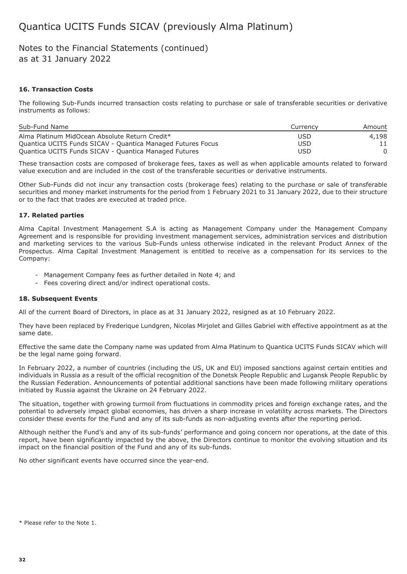## Notes to the Financial Statements (continued) as at 31 January 2022

### **16. Transaction Costs**

The following Sub-Funds incurred transaction costs relating to purchase or sale of transferable securities or derivative instruments as follows:

| Sub-Fund Name                                               | Currency | Amount |
|-------------------------------------------------------------|----------|--------|
| Alma Platinum MidOcean Absolute Return Credit*              | USD      | 4,198  |
| Quantica UCITS Funds SICAV - Quantica Managed Futures Focus | USD      |        |
| Quantica UCITS Funds SICAV - Quantica Managed Futures       | USD      |        |

These transaction costs are composed of brokerage fees, taxes as well as when applicable amounts related to forward value execution and are included in the cost of the transferable securities or derivative instruments.

Other Sub-Funds did not incur any transaction costs (brokerage fees) relating to the purchase or sale of transferable securities and money market instruments for the period from 1 February 2021 to 31 January 2022, due to their structure or to the fact that trades are executed at traded price.

#### **17. Related parties**

Alma Capital Investment Management S.A is acting as Management Company under the Management Company Agreement and is responsible for providing investment management services, administration services and distribution and marketing services to the various Sub-Funds unless otherwise indicated in the relevant Product Annex of the Prospectus. Alma Capital Investment Management is entitled to receive as a compensation for its services to the Company:

- Management Company fees as further detailed in Note 4; and
- Fees covering direct and/or indirect operational costs.

#### **18. Subsequent Events**

All of the current Board of Directors, in place as at 31 January 2022, resigned as at 10 February 2022.

They have been replaced by Frederique Lundgren, Nicolas Mirjolet and Gilles Gabriel with effective appointment as at the same date.

Effective the same date the Company name was updated from Alma Platinum to Quantica UCITS Funds SICAV which will be the legal name going forward.

In February 2022, a number of countries (including the US, UK and EU) imposed sanctions against certain entities and individuals in Russia as a result of the official recognition of the Donetsk People Republic and Lugansk People Republic by the Russian Federation. Announcements of potential additional sanctions have been made following military operations initiated by Russia against the Ukraine on 24 February 2022.

The situation, together with growing turmoil from fluctuations in commodity prices and foreign exchange rates, and the potential to adversely impact global economies, has driven a sharp increase in volatility across markets. The Directors consider these events for the Fund and any of its sub-funds as non-adjusting events after the reporting period.

Although neither the Fund's and any of its sub-funds' performance and going concern nor operations, at the date of this report, have been significantly impacted by the above, the Directors continue to monitor the evolving situation and its impact on the financial position of the Fund and any of its sub-funds.

No other significant events have occurred since the year-end.

<sup>\*</sup> Please refer to the Note 1.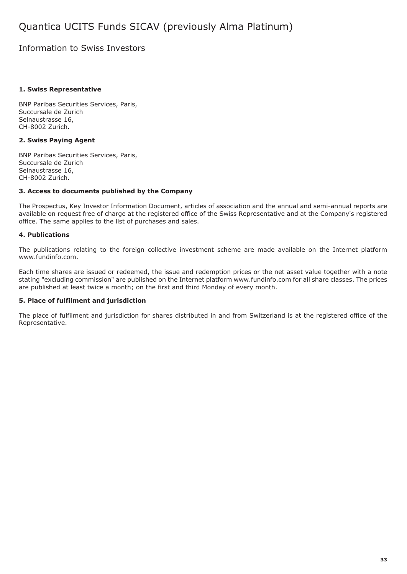## Information to Swiss Investors

### **1. Swiss Representative**

BNP Paribas Securities Services, Paris, Succursale de Zurich Selnaustrasse 16, CH-8002 Zurich.

### **2. Swiss Paying Agent**

BNP Paribas Securities Services, Paris, Succursale de Zurich Selnaustrasse 16, CH-8002 Zurich.

### **3. Access to documents published by the Company**

The Prospectus, Key Investor Information Document, articles of association and the annual and semi-annual reports are available on request free of charge at the registered office of the Swiss Representative and at the Company's registered office. The same applies to the list of purchases and sales.

### **4. Publications**

The publications relating to the foreign collective investment scheme are made available on the Internet platform www.fundinfo.com.

Each time shares are issued or redeemed, the issue and redemption prices or the net asset value together with a note stating "excluding commission" are published on the Internet platform www.fundinfo.com for all share classes. The prices are published at least twice a month; on the first and third Monday of every month.

### **5. Place of fulfilment and jurisdiction**

The place of fulfilment and jurisdiction for shares distributed in and from Switzerland is at the registered office of the Representative.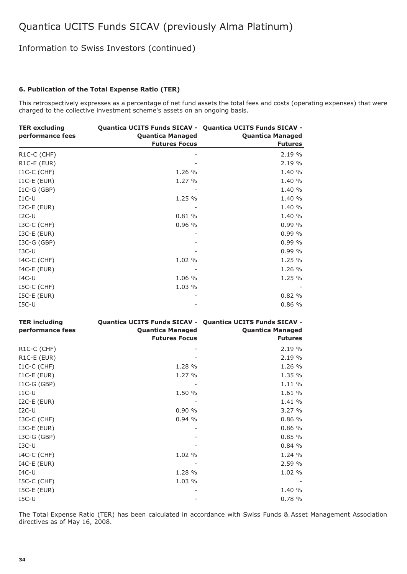## Information to Swiss Investors (continued)

### **6. Publication of the Total Expense Ratio (TER)**

This retrospectively expresses as a percentage of net fund assets the total fees and costs (operating expenses) that were charged to the collective investment scheme's assets on an ongoing basis.

| <b>TER excluding</b>     |                         | <b>Quantica UCITS Funds SICAV - Quantica UCITS Funds SICAV -</b> |
|--------------------------|-------------------------|------------------------------------------------------------------|
| performance fees         | <b>Quantica Managed</b> | <b>Quantica Managed</b>                                          |
|                          | <b>Futures Focus</b>    | <b>Futures</b>                                                   |
| R <sub>1</sub> C-C (CHF) |                         | 2.19 %                                                           |
| R <sub>1</sub> C-E (EUR) |                         | 2.19 %                                                           |
| $I1C-C$ (CHF)            | 1.26 %                  | 1.40 %                                                           |
| $I1C-E$ (EUR)            | 1.27 %                  | 1.40 %                                                           |
| $IC-G(GBP)$              |                         | 1.40 %                                                           |
| $I1C-U$                  | 1.25 %                  | 1.40 %                                                           |
| $I2C-E$ (EUR)            |                         | 1.40 %                                                           |
| $I2C-U$                  | 0.81%                   | 1.40 %                                                           |
| $ISC-C$ ( $CHF$ )        | 0.96%                   | 0.99%                                                            |
| I3C-E (EUR)              |                         | 0.99%                                                            |
| $ISC-G(GBP)$             |                         | 0.99%                                                            |
| $I3C-U$                  |                         | 0.99%                                                            |
| $I4C-C$ (CHF)            | 1.02 %                  | 1.25 %                                                           |
| $I4C-E$ (EUR)            |                         | 1.26 %                                                           |
| $IAC-U$                  | 1.06 %                  | 1.25 %                                                           |
| I5C-C (CHF)              | 1.03 %                  |                                                                  |
| I5C-E (EUR)              |                         | 0.82%                                                            |
| $ISC-U$                  |                         | 0.86%                                                            |

| <b>TER including</b><br>performance fees | <b>Quantica Managed</b><br><b>Futures Focus</b> | Quantica UCITS Funds SICAV - Quantica UCITS Funds SICAV -<br><b>Quantica Managed</b><br><b>Futures</b> |
|------------------------------------------|-------------------------------------------------|--------------------------------------------------------------------------------------------------------|
| R1C-C (CHF)                              |                                                 | 2.19%                                                                                                  |
| R1C-E (EUR)                              |                                                 | 2.19 %                                                                                                 |
| $I1C-C$ (CHF)                            | 1.28 %                                          | 1.26 %                                                                                                 |
| $I1C-E$ (EUR)                            | 1.27 %                                          | 1.35 %                                                                                                 |
| $IC-G(GBP)$                              |                                                 | 1.11 %                                                                                                 |
| $I1C-U$                                  | 1.50 %                                          | 1.61 %                                                                                                 |
| $I2C-E$ (EUR)                            |                                                 | 1.41 %                                                                                                 |
| $I2C-U$                                  | 0.90%                                           | 3.27%                                                                                                  |
| I3C-C (CHF)                              | 0.94%                                           | 0.86%                                                                                                  |
| $ISC-E$ (EUR)                            |                                                 | 0.86%                                                                                                  |
| $ISC-G(GBP)$                             |                                                 | 0.85%                                                                                                  |
| $I3C-U$                                  |                                                 | 0.84%                                                                                                  |
| $I4C-C$ (CHF)                            | 1.02 %                                          | 1.24 %                                                                                                 |
| $I4C-E$ (EUR)                            |                                                 | 2.59 %                                                                                                 |
| $IAC-U$                                  | 1.28 %                                          | 1.02 %                                                                                                 |
| $ISC-C$ ( $CHF$ )                        | 1.03 %                                          |                                                                                                        |
| $ISC-E$ (EUR)                            |                                                 | 1.40 %                                                                                                 |
| $ISC-U$                                  |                                                 | 0.78%                                                                                                  |

The Total Expense Ratio (TER) has been calculated in accordance with Swiss Funds & Asset Management Association directives as of May 16, 2008.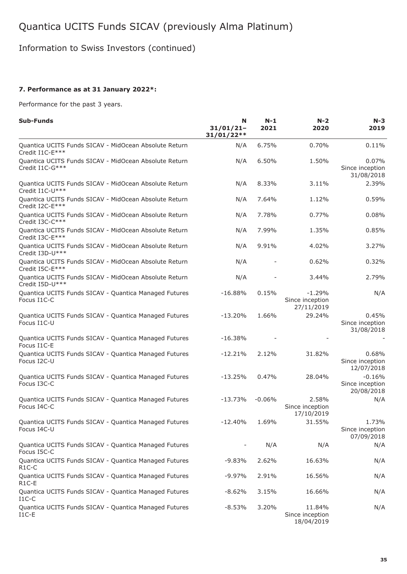Information to Swiss Investors (continued)

## **7. Performance as at 31 January 2022\*:**

Performance for the past 3 years.

| Sub-Funds                                                                   | N<br>$31/01/21 -$<br>$31/01/22**$ | $N-1$<br>2021 | $N-2$<br>2020                             | $N-3$<br>2019                             |
|-----------------------------------------------------------------------------|-----------------------------------|---------------|-------------------------------------------|-------------------------------------------|
| Quantica UCITS Funds SICAV - MidOcean Absolute Return<br>Credit I1C-E***    | N/A                               | 6.75%         | 0.70%                                     | 0.11%                                     |
| Quantica UCITS Funds SICAV - MidOcean Absolute Return<br>Credit I1C-G***    | N/A                               | 6.50%         | 1.50%                                     | 0.07%<br>Since inception<br>31/08/2018    |
| Quantica UCITS Funds SICAV - MidOcean Absolute Return<br>Credit I1C-U***    | N/A                               | 8.33%         | 3.11%                                     | 2.39%                                     |
| Quantica UCITS Funds SICAV - MidOcean Absolute Return<br>Credit I2C-E***    | N/A                               | 7.64%         | 1.12%                                     | 0.59%                                     |
| Quantica UCITS Funds SICAV - MidOcean Absolute Return<br>Credit I3C-C***    | N/A                               | 7.78%         | 0.77%                                     | 0.08%                                     |
| Quantica UCITS Funds SICAV - MidOcean Absolute Return<br>Credit I3C-E***    | N/A                               | 7.99%         | 1.35%                                     | 0.85%                                     |
| Quantica UCITS Funds SICAV - MidOcean Absolute Return<br>Credit I3D-U***    | N/A                               | 9.91%         | 4.02%                                     | 3.27%                                     |
| Quantica UCITS Funds SICAV - MidOcean Absolute Return<br>Credit I5C-E***    | N/A                               |               | 0.62%                                     | 0.32%                                     |
| Quantica UCITS Funds SICAV - MidOcean Absolute Return<br>Credit I5D-U***    | N/A                               |               | 3.44%                                     | 2.79%                                     |
| Quantica UCITS Funds SICAV - Quantica Managed Futures<br>Focus I1C-C        | $-16.88%$                         | 0.15%         | $-1.29%$<br>Since inception<br>27/11/2019 | N/A                                       |
| Quantica UCITS Funds SICAV - Quantica Managed Futures<br>Focus I1C-U        | $-13.20%$                         | 1.66%         | 29.24%                                    | 0.45%<br>Since inception<br>31/08/2018    |
| Quantica UCITS Funds SICAV - Quantica Managed Futures<br>Focus I1C-E        | $-16.38%$                         |               |                                           |                                           |
| Quantica UCITS Funds SICAV - Quantica Managed Futures<br>Focus I2C-U        | $-12.21%$                         | 2.12%         | 31.82%                                    | 0.68%<br>Since inception<br>12/07/2018    |
| Quantica UCITS Funds SICAV - Quantica Managed Futures<br>Focus I3C-C        | $-13.25%$                         | 0.47%         | 28.04%                                    | $-0.16%$<br>Since inception<br>20/08/2018 |
| Quantica UCITS Funds SICAV - Quantica Managed Futures<br>Focus I4C-C        | $-13.73%$                         | $-0.06%$      | 2.58%<br>Since inception<br>17/10/2019    | N/A                                       |
| Quantica UCITS Funds SICAV - Quantica Managed Futures<br>Focus I4C-U        | $-12.40%$                         | 1.69%         | 31.55%                                    | 1.73%<br>Since inception<br>07/09/2018    |
| Quantica UCITS Funds SICAV - Quantica Managed Futures<br>Focus I5C-C        |                                   | N/A           | N/A                                       | N/A                                       |
| Quantica UCITS Funds SICAV - Quantica Managed Futures<br>$R1C-C$            | $-9.83%$                          | 2.62%         | 16.63%                                    | N/A                                       |
| Quantica UCITS Funds SICAV - Quantica Managed Futures<br>R <sub>1</sub> C-E | $-9.97%$                          | 2.91%         | 16.56%                                    | N/A                                       |
| Quantica UCITS Funds SICAV - Quantica Managed Futures<br>$I1C-C$            | $-8.62%$                          | 3.15%         | 16.66%                                    | N/A                                       |
| Quantica UCITS Funds SICAV - Quantica Managed Futures<br>$I1C-E$            | $-8.53%$                          | 3.20%         | 11.84%<br>Since inception<br>18/04/2019   | N/A                                       |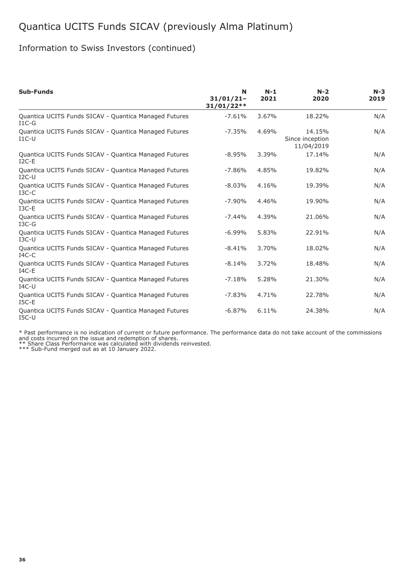## Information to Swiss Investors (continued)

| Sub-Funds                                                        | N<br>$31/01/21 -$<br>$31/01/22**$ | $N-1$<br>2021 | $N-2$<br>2020                           | $N-3$<br>2019 |
|------------------------------------------------------------------|-----------------------------------|---------------|-----------------------------------------|---------------|
| Quantica UCITS Funds SICAV - Quantica Managed Futures<br>$I1C-G$ | $-7.61%$                          | 3.67%         | 18.22%                                  | N/A           |
| Quantica UCITS Funds SICAV - Quantica Managed Futures<br>$I1C-U$ | $-7.35%$                          | 4.69%         | 14.15%<br>Since inception<br>11/04/2019 | N/A           |
| Quantica UCITS Funds SICAV - Quantica Managed Futures<br>$I2C-E$ | $-8.95%$                          | 3.39%         | 17.14%                                  | N/A           |
| Quantica UCITS Funds SICAV - Quantica Managed Futures<br>$I2C-U$ | $-7.86%$                          | 4.85%         | 19.82%                                  | N/A           |
| Quantica UCITS Funds SICAV - Quantica Managed Futures<br>$I3C-C$ | $-8.03%$                          | 4.16%         | 19.39%                                  | N/A           |
| Quantica UCITS Funds SICAV - Quantica Managed Futures<br>$I3C-E$ | $-7.90%$                          | 4.46%         | 19.90%                                  | N/A           |
| Quantica UCITS Funds SICAV - Quantica Managed Futures<br>$IGC-G$ | $-7.44%$                          | 4.39%         | 21.06%                                  | N/A           |
| Quantica UCITS Funds SICAV - Quantica Managed Futures<br>$I3C-U$ | $-6.99%$                          | 5.83%         | 22.91%                                  | N/A           |
| Quantica UCITS Funds SICAV - Quantica Managed Futures<br>$IAC-C$ | $-8.41%$                          | 3.70%         | 18.02%                                  | N/A           |
| Quantica UCITS Funds SICAV - Quantica Managed Futures<br>$IAC-E$ | $-8.14%$                          | 3.72%         | 18.48%                                  | N/A           |
| Quantica UCITS Funds SICAV - Quantica Managed Futures<br>$IAC-U$ | $-7.18%$                          | 5.28%         | 21.30%                                  | N/A           |
| Quantica UCITS Funds SICAV - Quantica Managed Futures<br>$ISC-E$ | $-7.83%$                          | 4.71%         | 22.78%                                  | N/A           |
| Quantica UCITS Funds SICAV - Quantica Managed Futures<br>$ISC-U$ | $-6.87%$                          | 6.11%         | 24.38%                                  | N/A           |

\* Past performance is no indication of current or future performance. The performance data do not take account of the commissions<br>and costs incurred on the issue and redemption of shares.<br>\*\* Share Class Performance was cal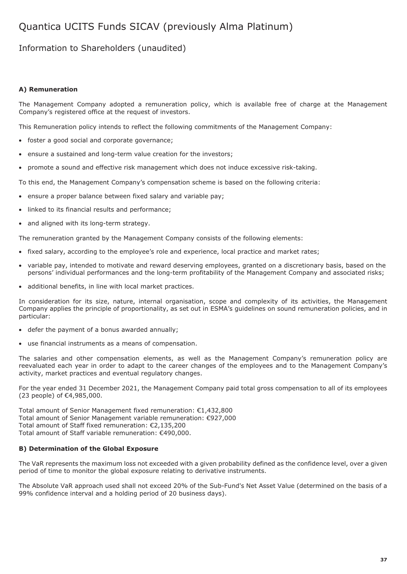## Information to Shareholders (unaudited)

### **A) Remuneration**

The Management Company adopted a remuneration policy, which is available free of charge at the Management Company's registered office at the request of investors.

This Remuneration policy intends to reflect the following commitments of the Management Company:

- foster a good social and corporate governance;
- ensure a sustained and long-term value creation for the investors;
- promote a sound and effective risk management which does not induce excessive risk-taking.

To this end, the Management Company's compensation scheme is based on the following criteria:

- ensure a proper balance between fixed salary and variable pay;
- linked to its financial results and performance;
- and aligned with its long-term strategy.

The remuneration granted by the Management Company consists of the following elements:

- fixed salary, according to the employee's role and experience, local practice and market rates;
- variable pay, intended to motivate and reward deserving employees, granted on a discretionary basis, based on the persons' individual performances and the long-term profitability of the Management Company and associated risks;
- additional benefits, in line with local market practices.

In consideration for its size, nature, internal organisation, scope and complexity of its activities, the Management Company applies the principle of proportionality, as set out in ESMA's guidelines on sound remuneration policies, and in particular:

- defer the payment of a bonus awarded annually;
- use financial instruments as a means of compensation.

The salaries and other compensation elements, as well as the Management Company's remuneration policy are reevaluated each year in order to adapt to the career changes of the employees and to the Management Company's activity, market practices and eventual regulatory changes.

For the year ended 31 December 2021, the Management Company paid total gross compensation to all of its employees (23 people) of €4,985,000.

Total amount of Senior Management fixed remuneration: €1,432,800 Total amount of Senior Management variable remuneration: €927,000 Total amount of Staff fixed remuneration: €2,135,200 Total amount of Staff variable remuneration: €490,000.

### **B) Determination of the Global Exposure**

The VaR represents the maximum loss not exceeded with a given probability defined as the confidence level, over a given period of time to monitor the global exposure relating to derivative instruments.

The Absolute VaR approach used shall not exceed 20% of the Sub-Fund's Net Asset Value (determined on the basis of a 99% confidence interval and a holding period of 20 business days).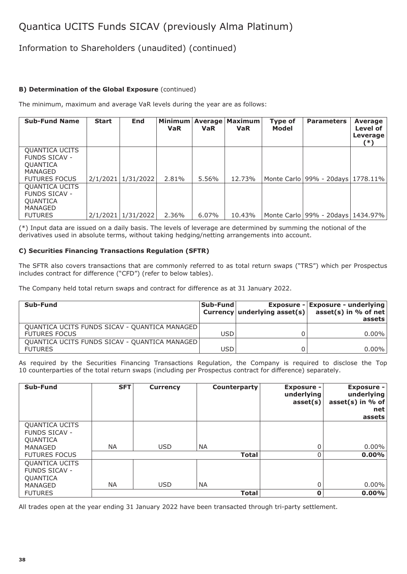## Information to Shareholders (unaudited) (continued)

## **B) Determination of the Global Exposure** (continued)

The minimum, maximum and average VaR levels during the year are as follows:

| <b>Sub-Fund Name</b>                                                                                | <b>Start</b> | End                  | <b>VaR</b> | <b>VaR</b> | Minimum   Average   Maximum<br><b>VaR</b> | Type of<br>Model | <b>Parameters</b>                      | <b>Average</b><br>Level of<br>Leverage<br>(*) |
|-----------------------------------------------------------------------------------------------------|--------------|----------------------|------------|------------|-------------------------------------------|------------------|----------------------------------------|-----------------------------------------------|
| <b>QUANTICA UCITS</b><br><b>FUNDS SICAV -</b><br><b>QUANTICA</b><br>MANAGED<br><b>FUTURES FOCUS</b> |              | 2/1/2021   1/31/2022 | 2.81%      | 5.56%      | 12.73%                                    |                  | Monte Carlo   99% - 20 days   1778.11% |                                               |
| QUANTICA UCITS<br><b>FUNDS SICAV -</b><br><b>QUANTICA</b><br>MANAGED<br><b>FUTURES</b>              | 2/1/2021     | 1/31/2022            | 2.36%      | $6.07\%$   | 10.43%                                    |                  | Monte Carlo   99% - 20days   1434.97%  |                                               |

(\*) Input data are issued on a daily basis. The levels of leverage are determined by summing the notional of the derivatives used in absolute terms, without taking hedging/netting arrangements into account.

### **C) Securities Financing Transactions Regulation (SFTR)**

The SFTR also covers transactions that are commonly referred to as total return swaps ("TRS") which per Prospectus includes contract for difference ("CFD") (refer to below tables).

The Company held total return swaps and contract for difference as at 31 January 2022.

| Sub-Fund                                      | Sub-Fund   | <b>Exposure - Exposure - underlying</b><br>Currency underlying asset(s) $\vert$ asset(s) in % of net<br>assets |
|-----------------------------------------------|------------|----------------------------------------------------------------------------------------------------------------|
| QUANTICA UCITS FUNDS SICAV - QUANTICA MANAGED |            |                                                                                                                |
| <b>FUTURES FOCUS</b>                          | USD        | $0.00\%$                                                                                                       |
| QUANTICA UCITS FUNDS SICAV - QUANTICA MANAGED |            |                                                                                                                |
| <b>FUTURES</b>                                | <b>USD</b> | $0.00\%$                                                                                                       |

As required by the Securities Financing Transactions Regulation, the Company is required to disclose the Top 10 counterparties of the total return swaps (including per Prospectus contract for difference) separately.

| Sub-Fund                                                             | <b>SFT</b> | <b>Currency</b> | Counterparty | <b>Exposure -</b><br>underlying<br>asset(s) | <b>Exposure -</b><br>underlying<br>asset(s) in % of<br>net<br>assets |
|----------------------------------------------------------------------|------------|-----------------|--------------|---------------------------------------------|----------------------------------------------------------------------|
| <b>QUANTICA UCITS</b><br><b>FUNDS SICAV -</b><br>QUANTICA<br>MANAGED | <b>NA</b>  | <b>USD</b>      | <b>NA</b>    | O                                           | $0.00\%$                                                             |
| <b>FUTURES FOCUS</b>                                                 |            |                 | <b>Total</b> |                                             | $0.00\%$                                                             |
| <b>QUANTICA UCITS</b><br><b>FUNDS SICAV -</b><br><b>QUANTICA</b>     |            |                 |              |                                             |                                                                      |
| <b>MANAGED</b>                                                       | <b>NA</b>  | <b>USD</b>      | <b>NA</b>    | 0                                           | $0.00\%$                                                             |
| <b>FUTURES</b>                                                       |            |                 | <b>Total</b> | 0                                           | $0.00\%$                                                             |

All trades open at the year ending 31 January 2022 have been transacted through tri-party settlement.